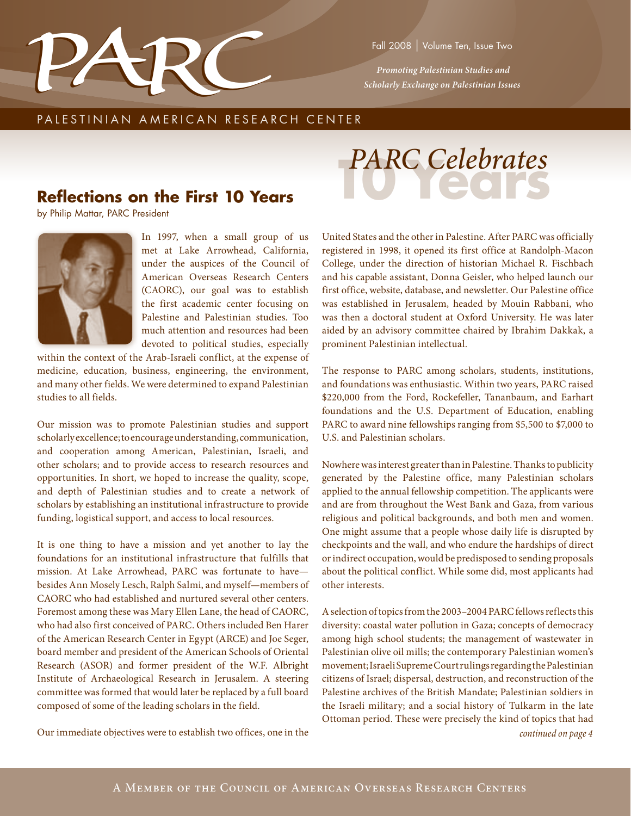

 *Promoting Palestinian Studies and Scholarly Exchange on Palestinian Issues*

### PALESTINIAN AMERICAN RESEARCH CENTER

# **Reflections on the First 10 Years**

by Philip Mattar, PARC President



In 1997, when a small group of us met at Lake Arrowhead, California, under the auspices of the Council of American Overseas Research Centers (CAORC), our goal was to establish the first academic center focusing on Palestine and Palestinian studies. Too much attention and resources had been devoted to political studies, especially

within the context of the Arab-Israeli conflict, at the expense of medicine, education, business, engineering, the environment, and many other fields. We were determined to expand Palestinian studies to all fields.

Our mission was to promote Palestinian studies and support scholarly excellence; to encourage understanding, communication, and cooperation among American, Palestinian, Israeli, and other scholars; and to provide access to research resources and opportunities. In short, we hoped to increase the quality, scope, and depth of Palestinian studies and to create a network of scholars by establishing an institutional infrastructure to provide funding, logistical support, and access to local resources.

It is one thing to have a mission and yet another to lay the foundations for an institutional infrastructure that fulfills that mission. At Lake Arrowhead, PARC was fortunate to have besides Ann Mosely Lesch, Ralph Salmi, and myself—members of CAORC who had established and nurtured several other centers. Foremost among these was Mary Ellen Lane, the head of CAORC, who had also first conceived of PARC. Others included Ben Harer of the American Research Center in Egypt (ARCE) and Joe Seger, board member and president of the American Schools of Oriental Research (ASOR) and former president of the W.F. Albright Institute of Archaeological Research in Jerusalem. A steering committee was formed that would later be replaced by a full board composed of some of the leading scholars in the field.



United States and the other in Palestine. After PARC was officially registered in 1998, it opened its first office at Randolph-Macon College, under the direction of historian Michael R. Fischbach and his capable assistant, Donna Geisler, who helped launch our first office, website, database, and newsletter. Our Palestine office was established in Jerusalem, headed by Mouin Rabbani, who was then a doctoral student at Oxford University. He was later aided by an advisory committee chaired by Ibrahim Dakkak, a prominent Palestinian intellectual.

The response to PARC among scholars, students, institutions, and foundations was enthusiastic. Within two years, PARC raised \$220,000 from the Ford, Rockefeller, Tananbaum, and Earhart foundations and the U.S. Department of Education, enabling PARC to award nine fellowships ranging from \$5,500 to \$7,000 to U.S. and Palestinian scholars.

Nowhere was interest greater than in Palestine. Thanks to publicity generated by the Palestine office, many Palestinian scholars applied to the annual fellowship competition. The applicants were and are from throughout the West Bank and Gaza, from various religious and political backgrounds, and both men and women. One might assume that a people whose daily life is disrupted by checkpoints and the wall, and who endure the hardships of direct or indirect occupation, would be predisposed to sending proposals about the political conflict. While some did, most applicants had other interests.

Our immediate objectives were to establish two offices, one in the *continued on page 4* A selection of topics from the 2003–2004 PARC fellows reflects this diversity: coastal water pollution in Gaza; concepts of democracy among high school students; the management of wastewater in Palestinian olive oil mills; the contemporary Palestinian women's movement; Israeli Supreme Court rulings regarding the Palestinian citizens of Israel; dispersal, destruction, and reconstruction of the Palestine archives of the British Mandate; Palestinian soldiers in the Israeli military; and a social history of Tulkarm in the late Ottoman period. These were precisely the kind of topics that had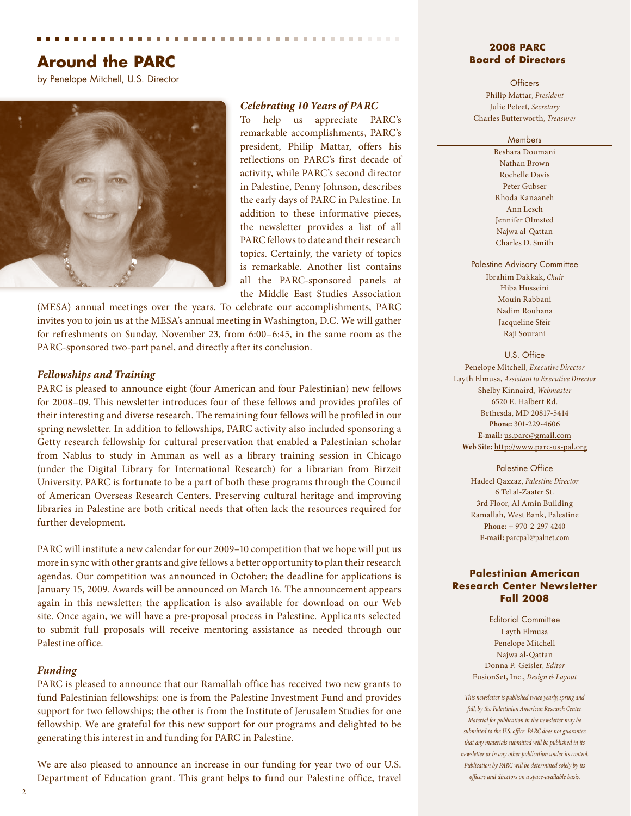# **Around the PARC**

by Penelope Mitchell, U.S. Director



#### *Celebrating 10 Years of PARC*

To help us appreciate PARC's remarkable accomplishments, PARC's president, Philip Mattar, offers his reflections on PARC's first decade of activity, while PARC's second director in Palestine, Penny Johnson, describes the early days of PARC in Palestine. In addition to these informative pieces, the newsletter provides a list of all PARC fellows to date and their research topics. Certainly, the variety of topics is remarkable. Another list contains all the PARC-sponsored panels at the Middle East Studies Association

(MESA) annual meetings over the years. To celebrate our accomplishments, PARC invites you to join us at the MESA's annual meeting in Washington, D.C. We will gather for refreshments on Sunday, November 23, from 6:00–6:45, in the same room as the PARC-sponsored two-part panel, and directly after its conclusion.

#### *Fellowships and Training*

PARC is pleased to announce eight (four American and four Palestinian) new fellows for 2008–09. This newsletter introduces four of these fellows and provides profiles of their interesting and diverse research. The remaining four fellows will be profiled in our spring newsletter. In addition to fellowships, PARC activity also included sponsoring a Getty research fellowship for cultural preservation that enabled a Palestinian scholar from Nablus to study in Amman as well as a library training session in Chicago (under the Digital Library for International Research) for a librarian from Birzeit University. PARC is fortunate to be a part of both these programs through the Council of American Overseas Research Centers. Preserving cultural heritage and improving libraries in Palestine are both critical needs that often lack the resources required for further development.

PARC will institute a new calendar for our 2009–10 competition that we hope will put us more in sync with other grants and give fellows a better opportunity to plan their research agendas. Our competition was announced in October; the deadline for applications is January 15, 2009. Awards will be announced on March 16. The announcement appears again in this newsletter; the application is also available for download on our Web site. Once again, we will have a pre-proposal process in Palestine. Applicants selected to submit full proposals will receive mentoring assistance as needed through our Palestine office.

#### *Funding*

PARC is pleased to announce that our Ramallah office has received two new grants to fund Palestinian fellowships: one is from the Palestine Investment Fund and provides support for two fellowships; the other is from the Institute of Jerusalem Studies for one fellowship. We are grateful for this new support for our programs and delighted to be generating this interest in and funding for PARC in Palestine.

We are also pleased to announce an increase in our funding for year two of our U.S. Department of Education grant. This grant helps to fund our Palestine office, travel

#### **2008 PARC Board of Directors**

#### **Officers**

Philip Mattar, *President* Julie Peteet, *Secretary* Charles Butterworth, *Treasurer*

#### **Members**

Beshara Doumani Nathan Brown Rochelle Davis Peter Gubser Rhoda Kanaaneh Ann Lesch Jennifer Olmsted Najwa al-Qattan Charles D. Smith

#### Palestine Advisory Committee

Ibrahim Dakkak, *Chair* Hiba Husseini Mouin Rabbani Nadim Rouhana Jacqueline Sfeir Raji Sourani

#### U.S. Office

Penelope Mitchell, *Executive Director* Layth Elmusa, *Assistant to Executive Director* Shelby Kinnaird, *Webmaster* 6520 E. Halbert Rd. Bethesda, MD 20817-5414 **Phone:** 301-229-4606 **E-mail:** us.parc@gmail.com **Web Site:** http://www.parc-us-pal.org

#### Palestine Office

Hadeel Qazzaz, *Palestine Director* 6 Tel al-Zaater St. 3rd Floor, Al Amin Building Ramallah, West Bank, Palestine **Phone:** + 970-2-297-4240 **E-mail:** parcpal@palnet.com

#### **Palestinian American Research Center Newsletter Fall 2008**

Editorial Committee

Layth Elmusa Penelope Mitchell Najwa al-Qattan Donna P. Geisler, *Editor* FusionSet, Inc., *Design & Layout*

*This newsletter is published twice yearly, spring and fall, by the Palestinian American Research Center. Material for publication in the newsletter may be submitted to the U.S. office. PARC does not guarantee that any materials submitted will be published in its newsletter or in any other publication under its control. Publication by PARC will be determined solely by its officers and directors on a space-available basis.*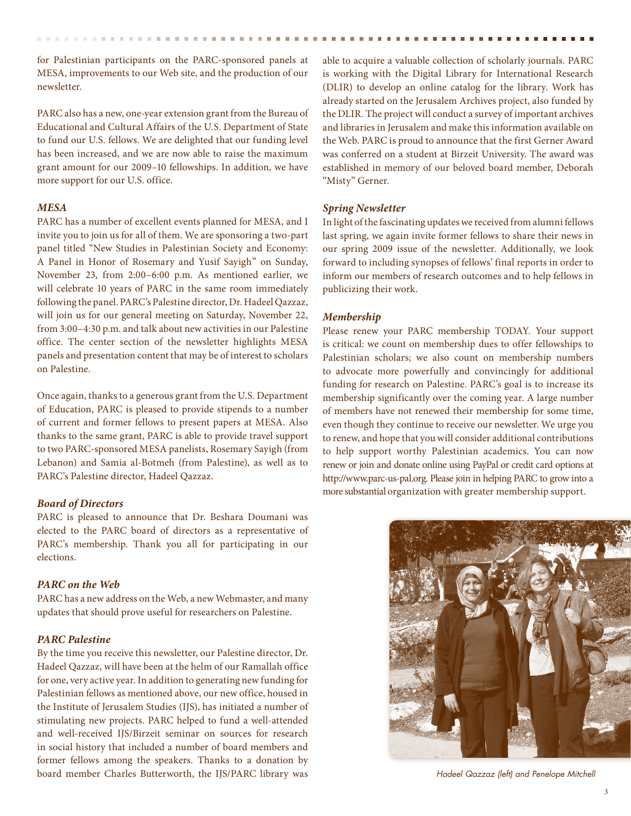for Palestinian participants on the PARC-sponsored panels at MESA, improvements to our Web site, and the production of our newsletter.

PARC also has a new, one-year extension grant from the Bureau of Educational and Cultural Affairs of the U.S. Department of State to fund our U.S. fellows. We are delighted that our funding level has been increased, and we are now able to raise the maximum grant amount for our 2009–10 fellowships. In addition, we have more support for our U.S. office.

#### *MESA*

PARC has a number of excellent events planned for MESA, and I invite you to join us for all of them. We are sponsoring a two-part panel titled "New Studies in Palestinian Society and Economy: A Panel in Honor of Rosemary and Yusif Sayigh" on Sunday, November 23, from 2:00–6:00 p.m. As mentioned earlier, we will celebrate 10 years of PARC in the same room immediately following the panel. PARC's Palestine director, Dr. Hadeel Qazzaz, will join us for our general meeting on Saturday, November 22, from 3:00–4:30 p.m. and talk about new activities in our Palestine office. The center section of the newsletter highlights MESA panels and presentation content that may be of interest to scholars on Palestine.

Once again, thanks to a generous grant from the U.S. Department of Education, PARC is pleased to provide stipends to a number of current and former fellows to present papers at MESA. Also thanks to the same grant, PARC is able to provide travel support to two PARC-sponsored MESA panelists, Rosemary Sayigh (from Lebanon) and Samia al-Botmeh (from Palestine), as well as to PARC's Palestine director, Hadeel Qazzaz.

#### *Board of Directors*

PARC is pleased to announce that Dr. Beshara Doumani was elected to the PARC board of directors as a representative of PARC's membership. Thank you all for participating in our elections.

#### *PARC on the Web*

PARC has a new address on the Web, a new Webmaster, and many updates that should prove useful for researchers on Palestine.

#### *PARC Palestine*

By the time you receive this newsletter, our Palestine director, Dr. Hadeel Qazzaz, will have been at the helm of our Ramallah office for one, very active year. In addition to generating new funding for Palestinian fellows as mentioned above, our new office, housed in the Institute of Jerusalem Studies (IJS), has initiated a number of stimulating new projects. PARC helped to fund a well-attended and well-received IJS/Birzeit seminar on sources for research in social history that included a number of board members and former fellows among the speakers. Thanks to a donation by board member Charles Butterworth, the IJS/PARC library was

able to acquire a valuable collection of scholarly journals. PARC is working with the Digital Library for International Research (DLIR) to develop an online catalog for the library. Work has already started on the Jerusalem Archives project, also funded by the DLIR. The project will conduct a survey of important archives and libraries in Jerusalem and make this information available on the Web. PARC is proud to announce that the first Gerner Award was conferred on a student at Birzeit University. The award was established in memory of our beloved board member, Deborah "Misty" Gerner.

#### *Spring Newsletter*

In light of the fascinating updates we received from alumni fellows last spring, we again invite former fellows to share their news in our spring 2009 issue of the newsletter. Additionally, we look forward to including synopses of fellows' final reports in order to inform our members of research outcomes and to help fellows in publicizing their work.

#### *Membership*

Please renew your PARC membership TODAY. Your support is critical: we count on membership dues to offer fellowships to Palestinian scholars; we also count on membership numbers to advocate more powerfully and convincingly for additional funding for research on Palestine. PARC's goal is to increase its membership significantly over the coming year. A large number of members have not renewed their membership for some time, even though they continue to receive our newsletter. We urge you to renew, and hope that you will consider additional contributions to help support worthy Palestinian academics. You can now renew or join and donate online using PayPal or credit card options at http://www.parc-us-pal.org. Please join in helping PARC to grow into a more substantial organization with greater membership support.



*Hadeel Qazzaz (left) and Penelope Mitchell*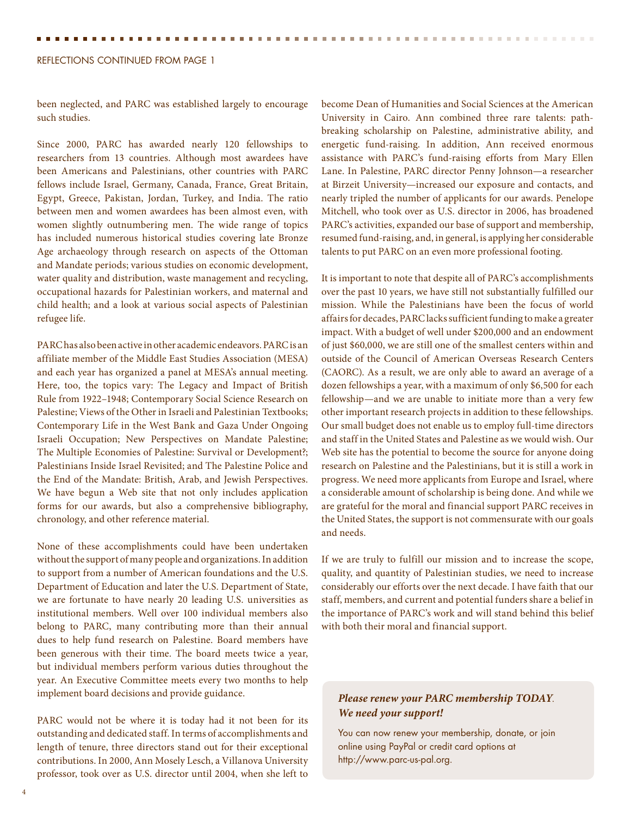#### Reflections Continued From page 1

been neglected, and PARC was established largely to encourage such studies.

Since 2000, PARC has awarded nearly 120 fellowships to researchers from 13 countries. Although most awardees have been Americans and Palestinians, other countries with PARC fellows include Israel, Germany, Canada, France, Great Britain, Egypt, Greece, Pakistan, Jordan, Turkey, and India. The ratio between men and women awardees has been almost even, with women slightly outnumbering men. The wide range of topics has included numerous historical studies covering late Bronze Age archaeology through research on aspects of the Ottoman and Mandate periods; various studies on economic development, water quality and distribution, waste management and recycling, occupational hazards for Palestinian workers, and maternal and child health; and a look at various social aspects of Palestinian refugee life.

PARC has also been active in other academic endeavors. PARC is an affiliate member of the Middle East Studies Association (MESA) and each year has organized a panel at MESA's annual meeting. Here, too, the topics vary: The Legacy and Impact of British Rule from 1922–1948; Contemporary Social Science Research on Palestine; Views of the Other in Israeli and Palestinian Textbooks; Contemporary Life in the West Bank and Gaza Under Ongoing Israeli Occupation; New Perspectives on Mandate Palestine; The Multiple Economies of Palestine: Survival or Development?; Palestinians Inside Israel Revisited; and The Palestine Police and the End of the Mandate: British, Arab, and Jewish Perspectives. We have begun a Web site that not only includes application forms for our awards, but also a comprehensive bibliography, chronology, and other reference material.

None of these accomplishments could have been undertaken without the support of many people and organizations. In addition to support from a number of American foundations and the U.S. Department of Education and later the U.S. Department of State, we are fortunate to have nearly 20 leading U.S. universities as institutional members. Well over 100 individual members also belong to PARC, many contributing more than their annual dues to help fund research on Palestine. Board members have been generous with their time. The board meets twice a year, but individual members perform various duties throughout the year. An Executive Committee meets every two months to help implement board decisions and provide guidance.

PARC would not be where it is today had it not been for its outstanding and dedicated staff. In terms of accomplishments and length of tenure, three directors stand out for their exceptional contributions. In 2000, Ann Mosely Lesch, a Villanova University professor, took over as U.S. director until 2004, when she left to become Dean of Humanities and Social Sciences at the American University in Cairo. Ann combined three rare talents: pathbreaking scholarship on Palestine, administrative ability, and energetic fund-raising. In addition, Ann received enormous assistance with PARC's fund-raising efforts from Mary Ellen Lane. In Palestine, PARC director Penny Johnson—a researcher at Birzeit University—increased our exposure and contacts, and nearly tripled the number of applicants for our awards. Penelope Mitchell, who took over as U.S. director in 2006, has broadened PARC's activities, expanded our base of support and membership, resumed fund-raising, and, in general, is applying her considerable talents to put PARC on an even more professional footing.

It is important to note that despite all of PARC's accomplishments over the past 10 years, we have still not substantially fulfilled our mission. While the Palestinians have been the focus of world affairs for decades, PARC lacks sufficient funding to make a greater impact. With a budget of well under \$200,000 and an endowment of just \$60,000, we are still one of the smallest centers within and outside of the Council of American Overseas Research Centers (CAORC). As a result, we are only able to award an average of a dozen fellowships a year, with a maximum of only \$6,500 for each fellowship—and we are unable to initiate more than a very few other important research projects in addition to these fellowships. Our small budget does not enable us to employ full-time directors and staff in the United States and Palestine as we would wish. Our Web site has the potential to become the source for anyone doing research on Palestine and the Palestinians, but it is still a work in progress. We need more applicants from Europe and Israel, where a considerable amount of scholarship is being done. And while we are grateful for the moral and financial support PARC receives in the United States, the support is not commensurate with our goals and needs.

If we are truly to fulfill our mission and to increase the scope, quality, and quantity of Palestinian studies, we need to increase considerably our efforts over the next decade. I have faith that our staff, members, and current and potential funders share a belief in the importance of PARC's work and will stand behind this belief with both their moral and financial support.

#### *Please renew your PARC membership TODAY*. *We need your support!*

You can now renew your membership, donate, or join online using PayPal or credit card options at http://www.parc-us-pal.org.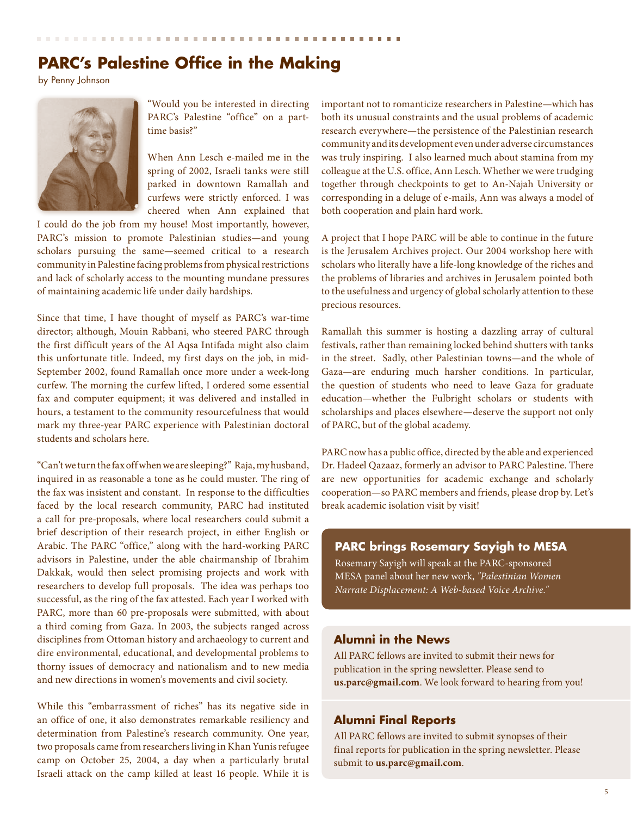# **PARC's Palestine Office in the Making**

by Penny Johnson



"Would you be interested in directing PARC's Palestine "office" on a parttime basis?"

When Ann Lesch e-mailed me in the spring of 2002, Israeli tanks were still parked in downtown Ramallah and curfews were strictly enforced. I was cheered when Ann explained that

I could do the job from my house! Most importantly, however, PARC's mission to promote Palestinian studies—and young scholars pursuing the same—seemed critical to a research community in Palestine facing problems from physical restrictions and lack of scholarly access to the mounting mundane pressures of maintaining academic life under daily hardships.

Since that time, I have thought of myself as PARC's war-time director; although, Mouin Rabbani, who steered PARC through the first difficult years of the Al Aqsa Intifada might also claim this unfortunate title. Indeed, my first days on the job, in mid-September 2002, found Ramallah once more under a week-long curfew. The morning the curfew lifted, I ordered some essential fax and computer equipment; it was delivered and installed in hours, a testament to the community resourcefulness that would mark my three-year PARC experience with Palestinian doctoral students and scholars here.

"Can't we turn the fax off when we are sleeping?" Raja, my husband, inquired in as reasonable a tone as he could muster. The ring of the fax was insistent and constant. In response to the difficulties faced by the local research community, PARC had instituted a call for pre-proposals, where local researchers could submit a brief description of their research project, in either English or Arabic. The PARC "office," along with the hard-working PARC advisors in Palestine, under the able chairmanship of Ibrahim Dakkak, would then select promising projects and work with researchers to develop full proposals. The idea was perhaps too successful, as the ring of the fax attested. Each year I worked with PARC, more than 60 pre-proposals were submitted, with about a third coming from Gaza. In 2003, the subjects ranged across disciplines from Ottoman history and archaeology to current and dire environmental, educational, and developmental problems to thorny issues of democracy and nationalism and to new media and new directions in women's movements and civil society.

While this "embarrassment of riches" has its negative side in an office of one, it also demonstrates remarkable resiliency and determination from Palestine's research community. One year, two proposals came from researchers living in Khan Yunis refugee camp on October 25, 2004, a day when a particularly brutal Israeli attack on the camp killed at least 16 people. While it is important not to romanticize researchers in Palestine—which has both its unusual constraints and the usual problems of academic research everywhere—the persistence of the Palestinian research community and its development even under adverse circumstances was truly inspiring. I also learned much about stamina from my colleague at the U.S. office, Ann Lesch. Whether we were trudging together through checkpoints to get to An-Najah University or corresponding in a deluge of e-mails, Ann was always a model of both cooperation and plain hard work.

A project that I hope PARC will be able to continue in the future is the Jerusalem Archives project. Our 2004 workshop here with scholars who literally have a life-long knowledge of the riches and the problems of libraries and archives in Jerusalem pointed both to the usefulness and urgency of global scholarly attention to these precious resources.

Ramallah this summer is hosting a dazzling array of cultural festivals, rather than remaining locked behind shutters with tanks in the street. Sadly, other Palestinian towns—and the whole of Gaza—are enduring much harsher conditions. In particular, the question of students who need to leave Gaza for graduate education—whether the Fulbright scholars or students with scholarships and places elsewhere—deserve the support not only of PARC, but of the global academy.

PARC now has a public office, directed by the able and experienced Dr. Hadeel Qazaaz, formerly an advisor to PARC Palestine. There are new opportunities for academic exchange and scholarly cooperation—so PARC members and friends, please drop by. Let's break academic isolation visit by visit!

#### **PARC brings Rosemary Sayigh to MESA**

Rosemary Sayigh will speak at the PARC-sponsored MESA panel about her new work, *"Palestinian Women Narrate Displacement: A Web-based Voice Archive."*

#### **Alumni in the News**

All PARC fellows are invited to submit their news for publication in the spring newsletter. Please send to **us.parc@gmail.com**. We look forward to hearing from you!

#### **Alumni Final Reports**

All PARC fellows are invited to submit synopses of their final reports for publication in the spring newsletter. Please submit to **us.parc@gmail.com**.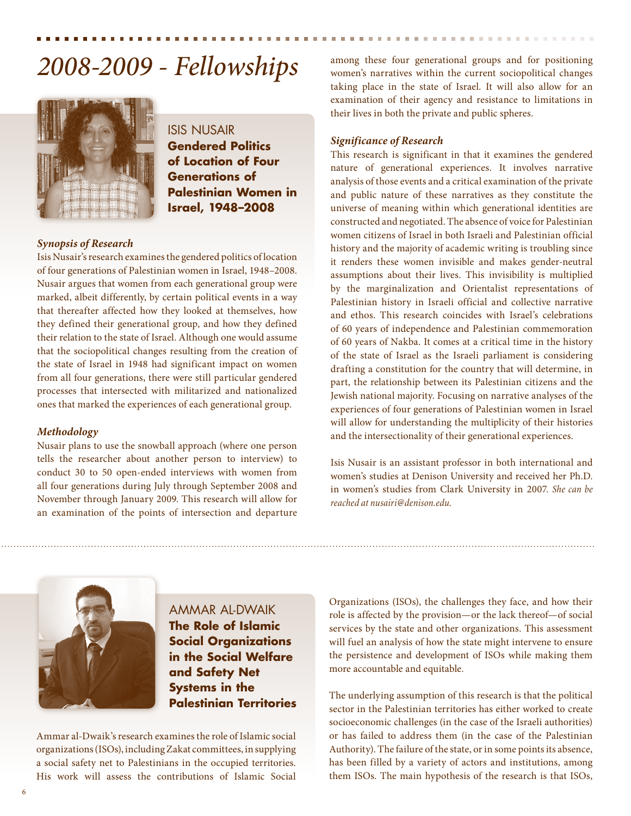# 2008-2009 - Fellowships among these four generational groups and for positioning wormen's narratives within the current sociopolitical changes



Isis Nusair **Gendered Politics of Location of Four Generations of Palestinian Women in Israel, 1948–2008**

#### *Synopsis of Research*

Isis Nusair's research examines the gendered politics of location of four generations of Palestinian women in Israel, 1948–2008. Nusair argues that women from each generational group were marked, albeit differently, by certain political events in a way that thereafter affected how they looked at themselves, how they defined their generational group, and how they defined their relation to the state of Israel. Although one would assume that the sociopolitical changes resulting from the creation of the state of Israel in 1948 had significant impact on women from all four generations, there were still particular gendered processes that intersected with militarized and nationalized ones that marked the experiences of each generational group.

#### *Methodology*

Nusair plans to use the snowball approach (where one person tells the researcher about another person to interview) to conduct 30 to 50 open-ended interviews with women from all four generations during July through September 2008 and November through January 2009. This research will allow for an examination of the points of intersection and departure

women's narratives within the current sociopolitical changes taking place in the state of Israel. It will also allow for an examination of their agency and resistance to limitations in their lives in both the private and public spheres.

#### *Significance of Research*

This research is significant in that it examines the gendered nature of generational experiences. It involves narrative analysis of those events and a critical examination of the private and public nature of these narratives as they constitute the universe of meaning within which generational identities are constructed and negotiated. The absence of voice for Palestinian women citizens of Israel in both Israeli and Palestinian official history and the majority of academic writing is troubling since it renders these women invisible and makes gender-neutral assumptions about their lives. This invisibility is multiplied by the marginalization and Orientalist representations of Palestinian history in Israeli official and collective narrative and ethos. This research coincides with Israel's celebrations of 60 years of independence and Palestinian commemoration of 60 years of Nakba. It comes at a critical time in the history of the state of Israel as the Israeli parliament is considering drafting a constitution for the country that will determine, in part, the relationship between its Palestinian citizens and the Jewish national majority. Focusing on narrative analyses of the experiences of four generations of Palestinian women in Israel will allow for understanding the multiplicity of their histories and the intersectionality of their generational experiences.

Isis Nusair is an assistant professor in both international and women's studies at Denison University and received her Ph.D. in women's studies from Clark University in 2007. *She can be reached at nusairi@denison.edu.*



Ammar Al-Dwaik **The Role of Islamic Social Organizations in the Social Welfare and Safety Net Systems in the Palestinian Territories**

Ammar al-Dwaik's research examines the role of Islamic social organizations (ISOs), including Zakat committees, in supplying a social safety net to Palestinians in the occupied territories. His work will assess the contributions of Islamic Social

Organizations (ISOs), the challenges they face, and how their role is affected by the provision—or the lack thereof—of social services by the state and other organizations. This assessment will fuel an analysis of how the state might intervene to ensure the persistence and development of ISOs while making them more accountable and equitable.

The underlying assumption of this research is that the political sector in the Palestinian territories has either worked to create socioeconomic challenges (in the case of the Israeli authorities) or has failed to address them (in the case of the Palestinian Authority). The failure of the state, or in some points its absence, has been filled by a variety of actors and institutions, among them ISOs. The main hypothesis of the research is that ISOs,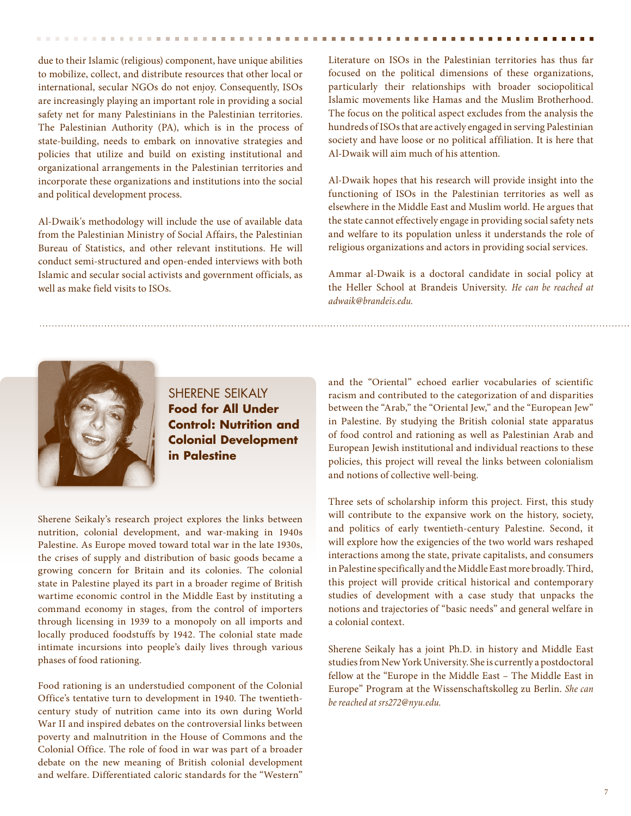due to their Islamic (religious) component, have unique abilities to mobilize, collect, and distribute resources that other local or international, secular NGOs do not enjoy. Consequently, ISOs are increasingly playing an important role in providing a social safety net for many Palestinians in the Palestinian territories. The Palestinian Authority (PA), which is in the process of state-building, needs to embark on innovative strategies and policies that utilize and build on existing institutional and organizational arrangements in the Palestinian territories and incorporate these organizations and institutions into the social and political development process.

Al-Dwaik's methodology will include the use of available data from the Palestinian Ministry of Social Affairs, the Palestinian Bureau of Statistics, and other relevant institutions. He will conduct semi-structured and open-ended interviews with both Islamic and secular social activists and government officials, as well as make field visits to ISOs.

Literature on ISOs in the Palestinian territories has thus far focused on the political dimensions of these organizations, particularly their relationships with broader sociopolitical Islamic movements like Hamas and the Muslim Brotherhood. The focus on the political aspect excludes from the analysis the hundreds of ISOs that are actively engaged in serving Palestinian society and have loose or no political affiliation. It is here that Al-Dwaik will aim much of his attention.

Al-Dwaik hopes that his research will provide insight into the functioning of ISOs in the Palestinian territories as well as elsewhere in the Middle East and Muslim world. He argues that the state cannot effectively engage in providing social safety nets and welfare to its population unless it understands the role of religious organizations and actors in providing social services.

Ammar al-Dwaik is a doctoral candidate in social policy at the Heller School at Brandeis University. *He can be reached at adwaik@brandeis.edu.*



Sherene Seikaly **Food for All Under Control: Nutrition and Colonial Development in Palestine**

Sherene Seikaly's research project explores the links between nutrition, colonial development, and war-making in 1940s Palestine. As Europe moved toward total war in the late 1930s, the crises of supply and distribution of basic goods became a growing concern for Britain and its colonies. The colonial state in Palestine played its part in a broader regime of British wartime economic control in the Middle East by instituting a command economy in stages, from the control of importers through licensing in 1939 to a monopoly on all imports and locally produced foodstuffs by 1942. The colonial state made intimate incursions into people's daily lives through various phases of food rationing.

Food rationing is an understudied component of the Colonial Office's tentative turn to development in 1940. The twentiethcentury study of nutrition came into its own during World War II and inspired debates on the controversial links between poverty and malnutrition in the House of Commons and the Colonial Office. The role of food in war was part of a broader debate on the new meaning of British colonial development and welfare. Differentiated caloric standards for the "Western"

and the "Oriental" echoed earlier vocabularies of scientific racism and contributed to the categorization of and disparities between the "Arab," the "Oriental Jew," and the "European Jew" in Palestine. By studying the British colonial state apparatus of food control and rationing as well as Palestinian Arab and European Jewish institutional and individual reactions to these policies, this project will reveal the links between colonialism and notions of collective well-being.

Three sets of scholarship inform this project. First, this study will contribute to the expansive work on the history, society, and politics of early twentieth-century Palestine. Second, it will explore how the exigencies of the two world wars reshaped interactions among the state, private capitalists, and consumers in Palestine specifically and the Middle East more broadly. Third, this project will provide critical historical and contemporary studies of development with a case study that unpacks the notions and trajectories of "basic needs" and general welfare in a colonial context.

Sherene Seikaly has a joint Ph.D. in history and Middle East studies from New York University. She is currently a postdoctoral fellow at the "Europe in the Middle East – The Middle East in Europe" Program at the Wissenschaftskolleg zu Berlin. *She can be reached at srs272@nyu.edu.*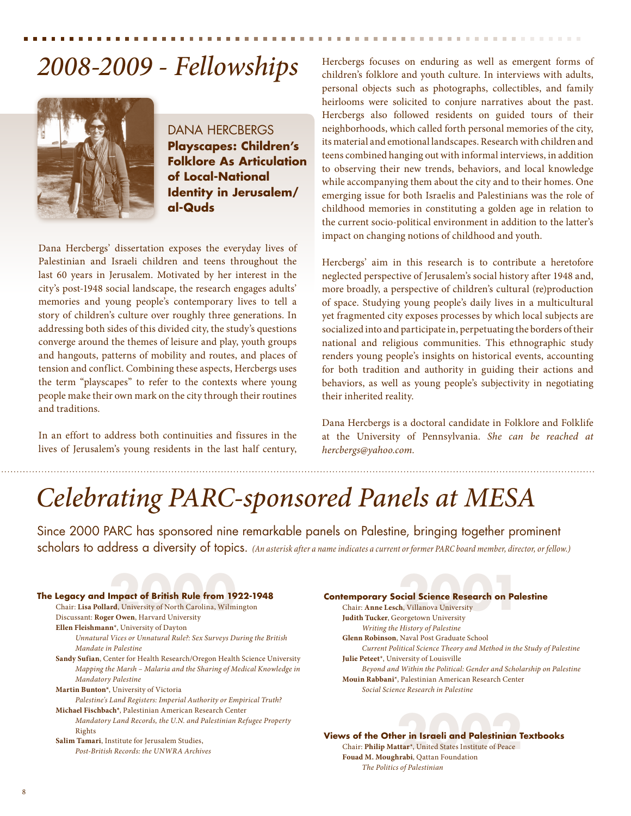# *2008-2009 - Fellowships*



DANA HERCBERGS **Playscapes: Children's Folklore As Articulation of Local-National Identity in Jerusalem/ al-Quds**

Dana Hercbergs' dissertation exposes the everyday lives of Palestinian and Israeli children and teens throughout the last 60 years in Jerusalem. Motivated by her interest in the city's post-1948 social landscape, the research engages adults' memories and young people's contemporary lives to tell a story of children's culture over roughly three generations. In addressing both sides of this divided city, the study's questions converge around the themes of leisure and play, youth groups and hangouts, patterns of mobility and routes, and places of tension and conflict. Combining these aspects, Hercbergs uses the term "playscapes" to refer to the contexts where young people make their own mark on the city through their routines and traditions.

In an effort to address both continuities and fissures in the lives of Jerusalem's young residents in the last half century, Hercbergs focuses on enduring as well as emergent forms of children's folklore and youth culture. In interviews with adults, personal objects such as photographs, collectibles, and family heirlooms were solicited to conjure narratives about the past. Hercbergs also followed residents on guided tours of their neighborhoods, which called forth personal memories of the city, its material and emotional landscapes. Research with children and teens combined hanging out with informal interviews, in addition to observing their new trends, behaviors, and local knowledge while accompanying them about the city and to their homes. One emerging issue for both Israelis and Palestinians was the role of childhood memories in constituting a golden age in relation to the current socio-political environment in addition to the latter's impact on changing notions of childhood and youth.

. . . . . . . . . . . . .

Hercbergs' aim in this research is to contribute a heretofore neglected perspective of Jerusalem's social history after 1948 and, more broadly, a perspective of children's cultural (re)production of space. Studying young people's daily lives in a multicultural yet fragmented city exposes processes by which local subjects are socialized into and participate in, perpetuating the borders of their national and religious communities. This ethnographic study renders young people's insights on historical events, accounting for both tradition and authority in guiding their actions and behaviors, as well as young people's subjectivity in negotiating their inherited reality.

Dana Hercbergs is a doctoral candidate in Folklore and Folklife at the University of Pennsylvania. *She can be reached at hercbergs@yahoo.com.*

# *Celebrating PARC-sponsored Panels at MESA*

Since 2000 PARC has sponsored nine remarkable panels on Palestine, bringing together prominent scholars to address a diversity of topics. *(An asterisk after a name indicates a current or former PARC board member, director, or fellow.)* 



**Contemporary Social Science Research on Palestine Emporary Social Science Research on Pal**<br>Chair: Anne Lesch, Villanova University<br>Indith Tucker Georgetown University **Judith Tucker**, Georgetown University  *Writing the History of Palestine* **Glenn Robinson**, Naval Post Graduate School *Current Political Science Theory and Method in the Study of Palestine* **Julie Peteet**\*, University of Louisville *Beyond and Within the Political: Gender and Scholarship on Palestine* **Mouin Rabbani**\*, Palestinian American Research Center *Social Science Research in Palestine*

**Views of the Other in Israeli and Palestinian Textbooks vs of the Other in Israeli and Palestinian T**<br>Chair: Philip Mattar<sup>\*</sup>, United States Institute of Peace<br>Fouad M. Moughrabi. Oattan Foundation **Fouad M. Moughrabi**, Qattan Foundation *The Politics of Palestinian*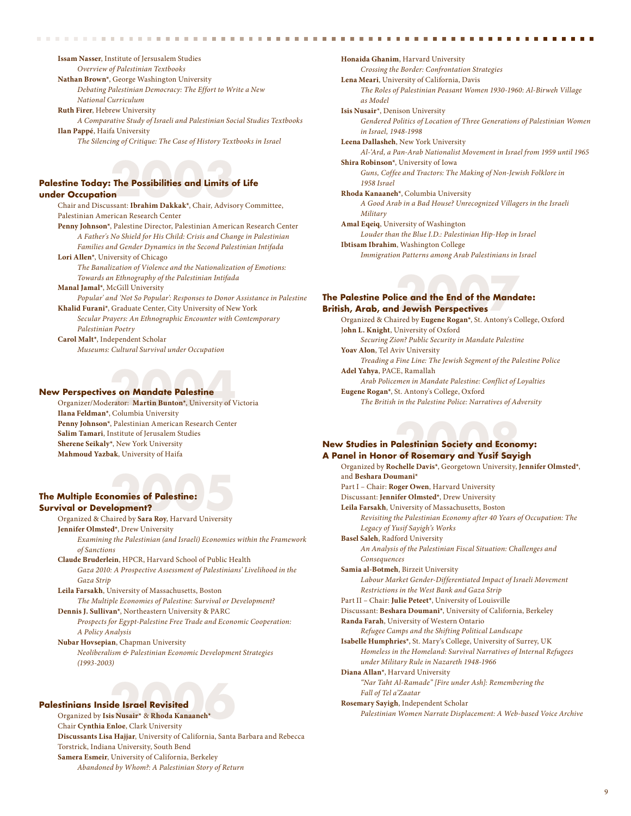**Issam Nasser**, Institute of Jersusalem Studies *Overview of Palestinian Textbooks*

**Nathan Brown\***, George Washington University

*Debating Palestinian Democracy: The Effort to Write a New* 

*National Curriculum* **Ruth Firer**, Hebrew University

 *A Comparative Study of Israeli and Palestinian Social Studies Textbooks* **Ilan Pappé**, Haifa University

*The Silencing of Critique: The Case of History Textbooks in Israel*

## **Palestine Today: The Possibilities and Limits of Life under Occupation 2003**<br> **2003**<br> **2003**<br> **2003**<br> **2003**<br> **2003**<br> **2003**<br> **2003**<br> **2003**<br> **2003**<br> **2003**<br> **2003**<br> **2004**<br> **2004**<br> **2005**<br> **2005**

 Chair and Discussant: **Ibrahim Dakkak\***, Chair, Advisory Committee, Palestinian American Research Center **Penny Johnson\***, Palestine Director, Palestinian American Research Center *A Father's No Shield for His Child: Crisis and Change in Palestinian* 

- *Families and Gender Dynamics in the Second Palestinian Intifada* **Lori Allen\***, University of Chicago
- *The Banalization of Violence and the Nationalization of Emotions: Towards an Ethnography of the Palestinian Intifada*

**Manal Jamal\***, McGill University

- *Popular' and 'Not So Popular': Responses to Donor Assistance in Palestine* **Khalid Furani\***, Graduate Center, City University of New York
- *Secular Prayers: An Ethnographic Encounter with Contemporary Palestinian Poetry*

**Carol Malt\***, Independent Scholar *Museums: Cultural Survival under Occupation*

#### **New Perspectives on Mandate Palestine**

Organizer/Moderator: Martin Bunton<sup>\*</sup>, University of Victoria **Ilana Feldman\***, Columbia University **Penny Johnson\***, Palestinian American Research Center **Salim Tamari**, Institute of Jerusalem Studies **Sherene Seikaly\***, New York University **Mahmoud Yazbak**, University of Haifa

## **The Multiple Economies of Palestine: Survival or Development? 2005**

Organized & Chaired by **Sara Roy**, Harvard University **Jennifer Olmsted\***, Drew University

 *Examining the Palestinian (and Israeli) Economies within the Framework of Sanctions*

**Claude Bruderlein**, HPCR, Harvard School of Public Health *Gaza 2010: A Prospective Assessment of Palestinians' Livelihood in the Gaza Strip*

**Leila Farsakh**, University of Massachusetts, Boston *The Multiple Economies of Palestine: Survival or Development?*

**Dennis J. Sullivan\***, Northeastern University & PARC *Prospects for Egypt-Palestine Free Trade and Economic Cooperation: A Policy Analysis*

**Nubar Hovsepian**, Chapman University *Neoliberalism & Palestinian Economic Development Strategies (1993-2003)*

#### **Palestinians Inside Israel Revisited**

Organized by **Isis Nusair\* 2006** & **Rhoda Kanaaneh\*** Chair **Cynthia Enloe**, Clark University  **Discussants Lisa Hajjar**, University of California, Santa Barbara and Rebecca Torstrick, Indiana University, South Bend **Samera Esmeir**, University of California, Berkeley *Abandoned by Whom?: A Palestinian Story of Return*

**Honaida Ghanim**, Harvard University *Crossing the Border: Confrontation Strategies* **Lena Meari**, University of California, Davis *The Roles of Palestinian Peasant Women 1930-1960: Al-Birweh Village as Model* **Isis Nusair**\*, Denison University *Gendered Politics of Location of Three Generations of Palestinian Women in Israel, 1948-1998* **Leena Dallasheh**, New York University *Al-'Ard, a Pan-Arab Nationalist Movement in Israel from 1959 until 1965* **Shira Robinson\***, University of Iowa *Guns, Coffee and Tractors: The Making of Non-Jewish Folklore in 1958 Israel* **Rhoda Kanaaneh\***, Columbia University *A Good Arab in a Bad House? Unrecognized Villagers in the Israeli Military* **Amal Eqeiq**, University of Washington *Louder than the Blue I.D.: Palestinian Hip-Hop in Israel* **Ibtisam Ibrahim**, Washington College *Immigration Patterns among Arab Palestinians in Israel*

## **The Palestine Police and the End of the Mandate: British, Arab, and Jewish Perspectives 2008**<br>**2008**<br>**2008**<br>**2008**<br>**2009**<br>**2009**<br>**2009**<br>**2009**<br>**2009**<br>**2009**<br>**2009**<br>**2009**<br>**2009**

**THE REAL** 

Organized & Chaired by **Eugene Rogan\***, St. Antony's College, Oxford J**ohn L. Knight**, University of Oxford *Securing Zion? Public Security in Mandate Palestine*  **Yoav Alon**, Tel Aviv University *Treading a Fine Line: The Jewish Segment of the Palestine Police* **Adel Yahya**, PACE, Ramallah *Arab Policemen in Mandate Palestine: Conflict of Loyalties*  **Eugene Rogan\***, St. Antony's College, Oxford *The British in the Palestine Police: Narratives of Adversity* 

## **New Studies in Palestinian Society and Economy: A Panel in Honor of Rosemary and Yusif Sayigh Palestinian Society and Econo**<br> **2008 Consumery and Yusif Sayin**<br> **2008** Constant Linuxeity

 Organized by **Rochelle Davis\*** , Georgetown University, **Jennifer Olmsted\***, and **Beshara Doumani\*** Part I – Chair: **Roger Owen**, Harvard University Discussant: **Jennifer Olmsted\***, Drew University **Leila Farsakh**, University of Massachusetts*,* Boston *Revisiting the Palestinian Economy after 40 Years of Occupation: The Legacy of Yusif Sayigh's Works* **Basel Saleh**, Radford University *An Analysis of the Palestinian Fiscal Situation: Challenges and Consequences* **Samia al-Botmeh**, Birzeit University *Labour Market Gender-Differentiated Impact of Israeli Movement Restrictions in the West Bank and Gaza Strip* Part II – Chair: **Julie Peteet\***, University of Louisville Discussant: **Beshara Doumani\***, University of California, Berkeley **Randa Farah**, University of Western Ontario *Refugee Camps and the Shifting Political Landscape* **Isabelle Humphries\***, St. Mary's College, University of Surrey, UK *Homeless in the Homeland: Survival Narratives of Internal Refugees under Military Rule in Nazareth 1948-1966* **Diana Allan\***, Harvard University *"Nar Taht Al-Ramade" [Fire under Ash]: Remembering the Fall of Tel a'Zaatar* **Rosemary Sayigh**, Independent Scholar *Palestinian Women Narrate Displacement: A Web-based Voice Archive*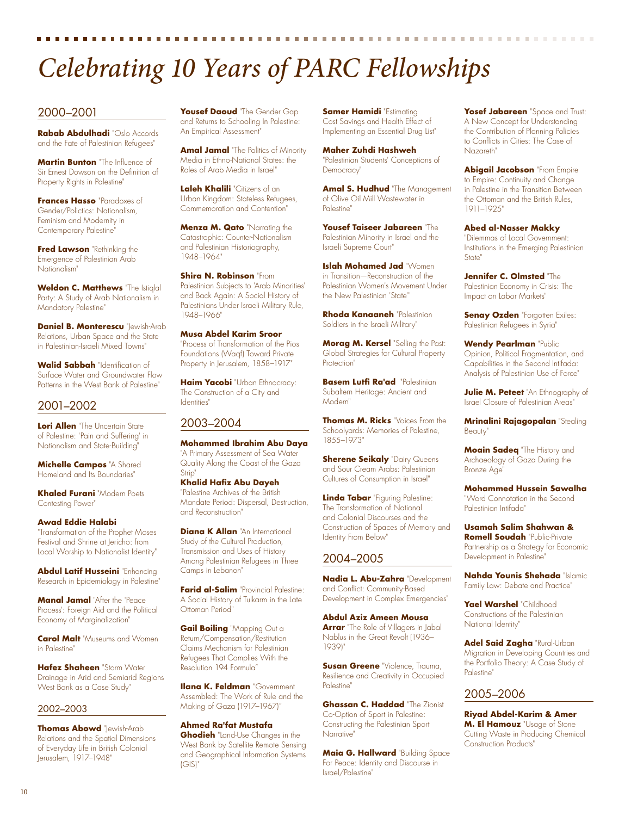# *Celebrating 10 Years of PARC Fellowships*

#### 2000–2001

**Rabab Abdulhadi** "Oslo Accords and the Fate of Palestinian Refugees"

**Martin Bunton** "The Influence of Sir Ernest Dowson on the Definition of Property Rights in Palestine"

**Frances Hasso** "Paradoxes of Gender/Polictics: Nationalism, Feminism and Modernity in Contemporary Palestine"

**Fred Lawson** "Rethinking the Emergence of Palestinian Arab Nationalism"

**Weldon C. Matthews** "The Istiqlal Party: A Study of Arab Nationalism in Mandatory Palestine"

**Daniel B. Monterescu** "Jewish-Arab Relations, Urban Space and the State in Palestinian-Israeli Mixed Towns"

**Walid Sabbah** "Identification of Surface Water and Groundwater Flow Patterns in the West Bank of Palestine"

#### 2001–2002

**Lori Allen** "The Uncertain State of Palestine: 'Pain and Suffering' in Nationalism and State-Building"

**Michelle Campos** "A Shared Homeland and Its Boundaries"

**Khaled Furani** "Modern Poets Contesting Power"

#### **Awad Eddie Halabi**

"Transformation of the Prophet Moses Festival and Shrine at Jericho: from Local Worship to Nationalist Identity"

**Abdul Latif Husseini** "Enhancing Research in Epidemiology in Palestine"

**Manal Jamal** "After the 'Peace Process': Foreign Aid and the Political Economy of Marginalization"

**Carol Malt** "Museums and Women in Palestine

**Hafez Shaheen** "Storm Water Drainage in Arid and Semiarid Regions West Bank as a Case Study"

#### 2002–2003

**Thomas Abowd** "Jewish-Arab Relations and the Spatial Dimensions of Everyday Life in British Colonial Jerusalem, 1917–1948"

**Yousef Daoud** "The Gender Gap and Returns to Schooling In Palestine: An Empirical Assessment"

**Amal Jamal** "The Politics of Minority Media in Ethno-National States: the Roles of Arab Media in Israel"

**Laleh Khalili** "Citizens of an Urban Kingdom: Stateless Refugees, Commemoration and Contention"

**Menza M. Qato** "Narrating the Catastrophic: Counter-Nationalism and Palestinian Historiography, 1948–1964"

**Shira N. Robinson** "From Palestinian Subjects to 'Arab Minorities' and Back Again: A Social History of Palestinians Under Israeli Military Rule, 1948–1966"

**Musa Abdel Karim Sroor** "Process of Transformation of the Pios Foundations (Waqf) Toward Private Property in Jerusalem, 1858–1917"

**Haim Yacobi** "Urban Ethnocracy: The Construction of a City and Identities"

#### 2003–2004

**Mohammed Ibrahim Abu Daya** "A Primary Assessment of Sea Water Quality Along the Coast of the Gaza Strip"

**Khalid Hafiz Abu Dayeh** "Palestine Archives of the British Mandate Period: Dispersal, Destruction, and Reconstruction"

**Diana K Allan** "An International Study of the Cultural Production, Transmission and Uses of History Among Palestinian Refugees in Three Camps in Lebanon"

**Farid al-Salim** "Provincial Palestine: A Social History of Tulkarm in the Late Ottoman Period"

**Gail Boiling** "Mapping Out a Return/Compensation/Restitution Claims Mechanism for Palestinian Refugees That Complies With the Resolution 194 Formula"

**Ilana K. Feldman** "Government Assembled: The Work of Rule and the Making of Gaza (1917–1967)"

**Ahmed Ra'fat Mustafa Ghodieh** "Land-Use Changes in the West Bank by Satellite Remote Sensing and Geographical Information Systems (GIS)"

**Samer Hamidi** "Estimating Cost Savings and Health Effect of Implementing an Essential Drug List"

**Maher Zuhdi Hashweh** "Palestinian Students' Conceptions of Democracy"

**Amal S. Hudhud** "The Management of Olive Oil Mill Wastewater in Palestine"

**Yousef Taiseer Jabareen** "The Palestinian Minority in Israel and the Israeli Supreme Court"

**Islah Mohamed Jad** "Women in Transition—Reconstruction of the Palestinian Women's Movement Under the New Palestinian 'State'"

**Rhoda Kanaaneh** "Palestinian Soldiers in the Israeli Military"

**Morag M. Kersel** "Selling the Past: Global Strategies for Cultural Property Protection"

**Basem Lutfi Ra'ad** "Palestinian Subaltern Heritage: Ancient and Modern"

**Thomas M. Ricks** "Voices From the Schoolyards: Memories of Palestine, 1855–1973"

**Sherene Seikaly** "Dairy Queens and Sour Cream Arabs: Palestinian Cultures of Consumption in Israel"

**Linda Tabar** "Figuring Palestine: The Transformation of National and Colonial Discourses and the Construction of Spaces of Memory and Identity From Below"

#### 2004–2005

**Nadia L. Abu-Zahra** "Development and Conflict: Community-Based Development in Complex Emergencies"

**Abdul Aziz Ameen Mousa Arrar** "The Role of Villagers in Jabal Nablus in the Great Revolt (1936– 1939)"

**Susan Greene** "Violence, Trauma, Resilience and Creativity in Occupied Palestine"

**Ghassan C. Haddad** "The Zionist Co-Option of Sport in Palestine: Constructing the Palestinian Sport Narrative"

**Maia G. Hallward** "Building Space For Peace: Identity and Discourse in Israel/Palestine"

**Yosef Jabareen** "Space and Trust: A New Concept for Understanding the Contribution of Planning Policies to Conflicts in Cities: The Case of Nazareth"

. . . . . . . . . . . . . .

**Abigail Jacobson** "From Empire to Empire: Continuity and Change in Palestine in the Transition Between the Ottoman and the British Rules, 1911–1925"

**Abed al-Nasser Makky** "Dilemmas of Local Government: Institutions in the Emerging Palestinian State"

**Jennifer C. Olmsted** "The Palestinian Economy in Crisis: The Impact on Labor Markets"

**Senay Ozden** "Forgotten Exiles: Palestinian Refugees in Syria"

**Wendy Pearlman** "Public Opinion, Political Fragmentation, and Capabilities in the Second Intifada: Analysis of Palestinian Use of Force"

**Julie M. Peteet** "An Ethnography of Israel Closure of Palestinian Areas"

**Mrinalini Rajagopalan** "Stealing Beauty"

**Moain Sadeq** "The History and Archaeology of Gaza During the Bronze Age"

**Mohammed Hussein Sawalha** "Word Connotation in the Second Palestinian Intifada"

**Usamah Salim Shahwan & Romell Soudah** "Public-Private Partnership as a Strategy for Economic Development in Palestine"

**Nahda Younis Shehada** "Islamic Family Law: Debate and Practice"

**Yael Warshel** "Childhood Constructions of the Palestinian National Identity"

**Adel Said Zagha** "Rural-Urban Migration in Developing Countries and the Portfolio Theory: A Case Study of Palestine"

#### 2005–2006

**Riyad Abdel-Karim & Amer M. El Hamouz** "Usage of Stone Cutting Waste in Producing Chemical Construction Products"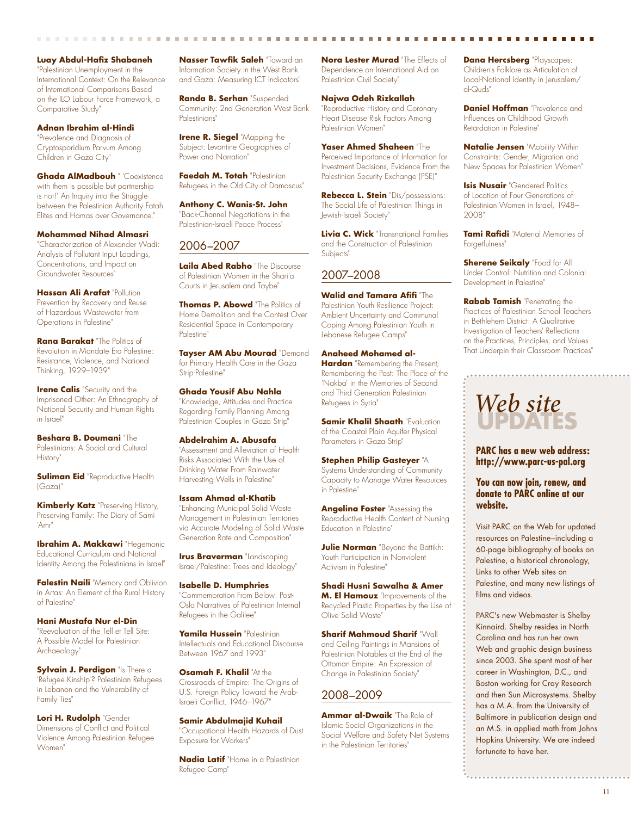**Luay Abdul-Hafiz Shabaneh** "Palestinian Unemployment in the International Context: On the Relevance of International Comparisons Based on the ILO Labour Force Framework, a Comparative Study"

**Adnan Ibrahim al-Hindi** "Prevalence and Diagnosis of Cryptosporidium Parvum Among Children in Gaza City"

**Ghada AlMadbouh** " 'Coexistence with them is possible but partnership is not!' An Inquiry into the Struggle between the Palestinian Authority Fatah Elites and Hamas over Governance."

**Mohammad Nihad Almasri** "Characterization of Alexander Wadi: Analysis of Pollutant Input Loadings, Concentrations, and Impact on Groundwater Resources"

**Hassan Ali Arafat** "Pollution Prevention by Recovery and Reuse of Hazardous Wastewater from Operations in Palestine"

**Rana Barakat** "The Politics of Revolution in Mandate Era Palestine: Resistance, Violence, and National Thinking, 1929–1939"

**Irene Calis** "Security and the Imprisoned Other: An Ethnography of National Security and Human Rights in Israel"

**Beshara B. Doumani** "The Palestinians: A Social and Cultural History"

**Suliman Eid** "Reproductive Health (Gaza)"

**Kimberly Katz** "Preserving History, Preserving Family: The Diary of Sami 'Amr"

**Ibrahim A. Makkawi** "Hegemonic Educational Curriculum and National Identity Among the Palestinians in Israel"

**Falestin Naili** "Memory and Oblivion in Artas: An Element of the Rural History of Palestine"

**Hani Mustafa Nur el-Din** "Reevaluation of the Tell et Tell Site: A Possible Model for Palestinian Archaeology"

**Sylvain J. Perdigon** "Is There a 'Refugee Kinship'? Palestinian Refugees in Lebanon and the Vulnerability of Family Ties"

**Lori H. Rudolph** "Gender Dimensions of Conflict and Political Violence Among Palestinian Refugee Women"

**Nasser Tawfik Saleh** "Toward an Information Society in the West Bank and Gaza: Measuring ICT Indicators"

**Randa B. Serhan** "Suspended Community: 2nd Generation West Bank Palestinians"

**Irene R. Siegel** "Mapping the Subject: Levantine Geographies of Power and Narration"

**Faedah M. Totah** "Palestinian Refugees in the Old City of Damascus"

**Anthony C. Wanis-St. John** "Back-Channel Negotiations in the Palestinian-Israeli Peace Process"

#### 2006–2007

**Laila Abed Rabho** "The Discourse of Palestinian Women in the Shari'a Courts in Jerusalem and Taybe"

**Thomas P. Abowd** "The Politics of Home Demolition and the Contest Over Residential Space in Contemporary Palestine"

**Tayser AM Abu Mourad** "Demand for Primary Health Care in the Gaza Strip-Palestine"

**Ghada Yousif Abu Nahla** "Knowledge, Attitudes and Practice Regarding Family Planning Among Palestinian Couples in Gaza Strip"

**Abdelrahim A. Abusafa** "Assessment and Alleviation of Health Risks Associated With the Use of Drinking Water From Rainwater Harvesting Wells in Palestine"

**Issam Ahmad al-Khatib** "Enhancing Municipal Solid Waste Management in Palestinian Territories via Accurate Modeling of Solid Waste Generation Rate and Composition"

**Irus Braverman** "Landscaping Israel/Palestine: Trees and Ideology"

**Isabelle D. Humphries** "Commemoration From Below: Post-Oslo Narratives of Palestinian Internal Refugees in the Galilee"

**Yamila Hussein** "Palestinian Intellectuals and Educational Discourse Between 1967 and 1993"

**Osamah F. Khalil "At the** Crossroads of Empire: The Origins of U.S. Foreign Policy Toward the Arab-Israeli Conflict, 1946–1967"

**Samir Abdulmajid Kuhail** "Occupational Health Hazards of Dust Exposure for Workers"

**Nadia Latif** "Home in a Palestinian Refugee Camp"

**Nora Lester Murad** "The Effects of Dependence on International Aid on Palestinian Civil Society"

**Najwa Odeh Rizkallah** "Reproductive History and Coronary Heart Disease Risk Factors Among Palestinian Women"

**Yaser Ahmed Shaheen** "The Perceived Importance of Information for Investment Decisions, Evidence From the Palestinian Security Exchange (PSE)"

**Rebecca L. Stein** "Dis/possessions: The Social Life of Palestinian Things in Jewish-Israeli Society"

**Livia C. Wick** "Transnational Families and the Construction of Palestinian Subjects"

#### 2007–2008

**Walid and Tamara Afifi** "The Palestinian Youth Resilience Project: Ambient Uncertainty and Communal Coping Among Palestinian Youth in Lebanese Refugee Camps"

**Anaheed Mohamed al-Hardan** "Remembering the Present, Remembering the Past: The Place of the 'Nakba' in the Memories of Second and Third Generation Palestinian Refugees in Syria"

**Samir Khalil Shaath** "Evaluation of the Coastal Plain Aquifer Physical Parameters in Gaza Strip"

**Stephen Philip Gasteyer** "A Systems Understanding of Community Capacity to Manage Water Resources in Palestine"

**Angelina Foster** "Assessing the Reproductive Health Content of Nursing Education in Palestine"

**Julie Norman** "Bevond the Battikh: Youth Participation in Nonviolent Activism in Palestine"

**Shadi Husni Sawalha & Amer M. El Hamouz** "Improvements of the Recycled Plastic Properties by the Use of Olive Solid Waste"

**Sharif Mahmoud Sharif** "Wall and Ceiling Paintings in Mansions of Palestinian Notables at the End of the Ottoman Empire: An Expression of Change in Palestinian Society"

#### 2008–2009

**Ammar al-Dwaik** "The Role of Islamic Social Organizations in the Social Welfare and Safety Net Systems in the Palestinian Territories"

**Dana Hercsberg** "Playscapes: Children's Folklore as Articulation of Local-National Identity in Jerusalem/ al-Quds"

**Daniel Hoffman** "Prevalence and Influences on Childhood Growth Retardation in Palestine"

**Natalie Jensen** "Mobility Within Constraints: Gender, Migration and New Spaces for Palestinian Women"

**Isis Nusair** "Gendered Politics of Location of Four Generations of Palestinian Women in Israel, 1948– 2008"

**Tami Rafidi** "Material Memories of Forgetfulness"

**Sherene Seikaly** "Food for All Under Control: Nutrition and Colonial Development in Palestine"

**Rabab Tamish** "Penetrating the Practices of Palestinian School Teachers in Bethlehem District: A Qualitative Investigation of Teachers' Reflections on the Practices, Principles, and Values That Underpin their Classroom Practices"

# *Web site*

**PARC has a new web address: http://www.parc-us-pal.org** 

#### **You can now join, renew, and donate to PARC online at our website.**

Visit PARC on the Web for updated resources on Palestine–including a 60-page bibliography of books on Palestine, a historical chronology, Links to other Web sites on Palestine, and many new listings of films and videos.

PARC's new Webmaster is Shelby Kinnaird. Shelby resides in North Carolina and has run her own Web and graphic design business since 2003. She spent most of her career in Washington, D.C., and Boston working for Cray Research and then Sun Microsystems. Shelby has a M.A. from the University of Baltimore in publication design and an M.S. in applied math from Johns Hopkins University. We are indeed fortunate to have her.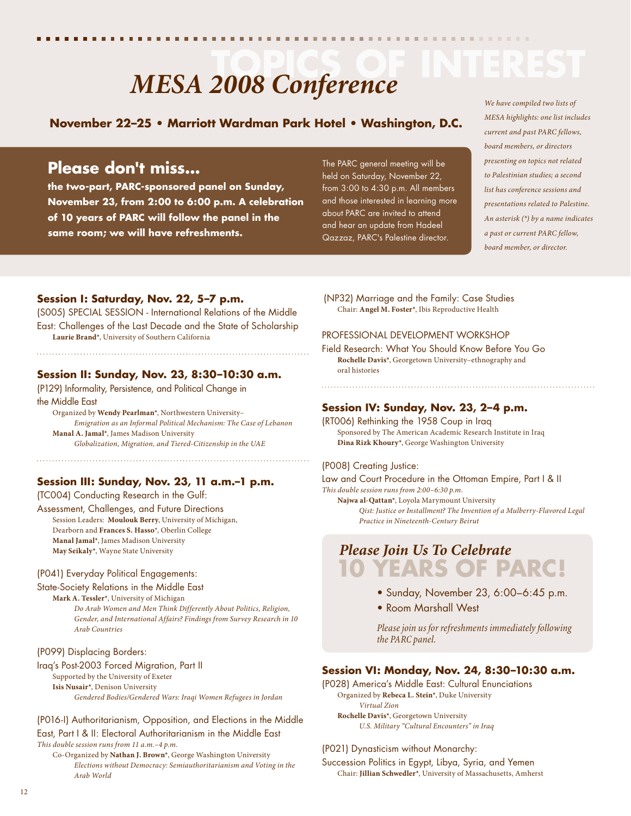# **MESA 2008 Conference**

## **November 22–25 • Marriott Wardman Park Hotel • Washington, D.C.**

# **Please don't miss...**

**the two-part, PARC-sponsored panel on Sunday, November 23, from 2:00 to 6:00 p.m. A celebration of 10 years of PARC will follow the panel in the same room; we will have refreshments.** 

The PARC general meeting will be held on Saturday, November 22, from 3:00 to 4:30 p.m. All members and those interested in learning more about PARC are invited to attend and hear an update from Hadeel Qazzaz, PARC's Palestine director.

# *We have compiled two lists of*

*MESA highlights: one list includes current and past PARC fellows, board members, or directors presenting on topics not related to Palestinian studies; a second list has conference sessions and presentations related to Palestine. An asterisk (\*) by a name indicates a past or current PARC fellow, board member, or director.*

#### **Session I: Saturday, Nov. 22, 5–7 p.m.**

(S005) SPECIAL SESSION - International Relations of the Middle East: Challenges of the Last Decade and the State of Scholarship **Laurie Brand\***, University of Southern California

#### **Session II: Sunday, Nov. 23, 8:30–10:30 a.m.**

(P129) Informality, Persistence, and Political Change in the Middle East

 Organized by **Wendy Pearlman\***, Northwestern University– *Emigration as an Informal Political Mechanism: The Case of Lebanon* **Manal A. Jamal\***, James Madison University *Globalization, Migration, and Tiered-Citizenship in the UAE* 

#### **Session III: Sunday, Nov. 23, 11 a.m.–1 p.m.**

(TC004) Conducting Research in the Gulf: Assessment, Challenges, and Future Directions Session Leaders: **Moulouk Berry**, University of Michigan, Dearborn and **Frances S. Hasso**\*, Oberlin College **Manal Jamal\***, James Madison University **May Seikaly\***, Wayne State University

#### (P041) Everyday Political Engagements:

#### State-Society Relations in the Middle East

 **Mark A. Tessler\***, University of Michigan *Do Arab Women and Men Think Differently About Politics, Religion, Gender, and International Affairs? Findings from Survey Research in 10 Arab Countries* 

#### (P099) Displacing Borders:

Iraq's Post-2003 Forced Migration, Part II

#### Supported by the University of Exeter

**Isis Nusair\***, Denison University

*Gendered Bodies/Gendered Wars: Iraqi Women Refugees in Jordan* 

#### (P016-I) Authoritarianism, Opposition, and Elections in the Middle East, Part I & II: Electoral Authoritarianism in the Middle East

*This double session runs from 11 a.m.–4 p.m.*

 Co-Organized by **Nathan J. Brown\***, George Washington University *Elections without Democracy: Semiauthoritarianism and Voting in the Arab World* 

(NP32) Marriage and the Family: Case Studies Chair: **Angel M. Foster\***, Ibis Reproductive Health

#### PROFESSIONAL DEVELOPMENT WORKSHOP

Field Research: What You Should Know Before You Go **Rochelle Davis\***, Georgetown University–ethnography and oral histories

#### **Session IV: Sunday, Nov. 23, 2–4 p.m.**

(RT006) Rethinking the 1958 Coup in Iraq Sponsored by The American Academic Research Institute in Iraq **Dina Rizk Khoury\***, George Washington University

#### (P008) Creating Justice:

Law and Court Procedure in the Ottoman Empire, Part I & II *This double session runs from 2:00–6:30 p.m.*

 **Najwa al-Qattan\***, Loyola Marymount University *Qist: Justice or Installment? The Invention of a Mulberry-Flavored Legal Practice in Nineteenth-Century Beirut*

# *Please Join Us To Celebrate* **10 YEARS OF PARC!**

- Sunday, November 23, 6:00–6:45 p.m.
- Room Marshall West

 *Please join us for refreshments immediately following the PARC panel.*

#### **Session VI: Monday, Nov. 24, 8:30–10:30 a.m.**

(P028) America's Middle East: Cultural Enunciations Organized by **Rebeca L. Stein\***, Duke University *Virtual Zion*  **Rochelle Davis\***, Georgetown University *U.S. Military "Cultural Encounters" in Iraq* 

#### (P021) Dynasticism without Monarchy:

Succession Politics in Egypt, Libya, Syria, and Yemen Chair: **Jillian Schwedler\***, University of Massachusetts, Amherst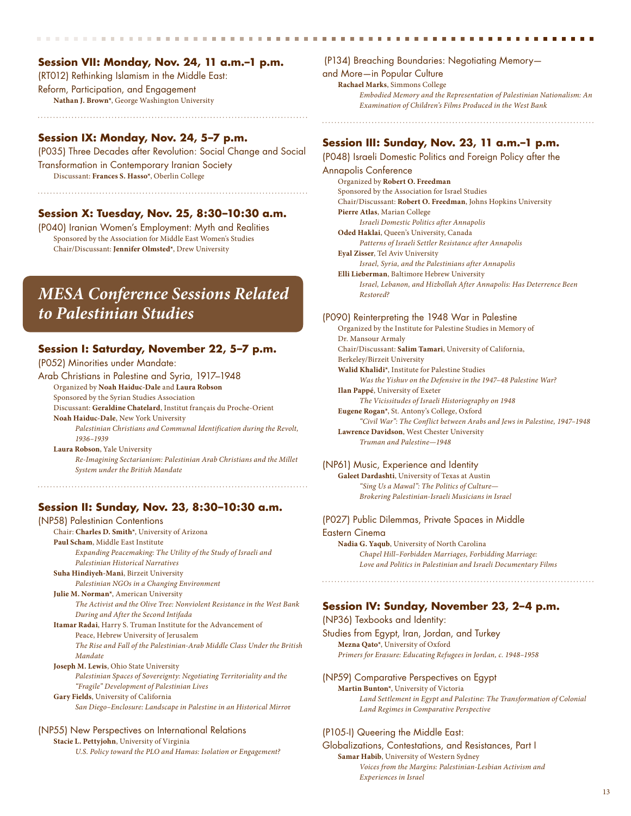#### Session VII: Monday, Nov. 24, 11 a.m.-1 p.m.

(RT012) Rethinking Islamism in the Middle East: Reform, Participation, and Engagement **Nathan J. Brown\***, George Washington University

. . . . . . . . . . . . . . . . . . .

#### **Session IX: Monday, Nov. 24, 5–7 p.m.**

(P035) Three Decades after Revolution: Social Change and Social Transformation in Contemporary Iranian Society Discussant: **Frances S. Hasso\***, Oberlin College

#### **Session X: Tuesday, Nov. 25, 8:30–10:30 a.m.**

(P040) Iranian Women's Employment: Myth and Realities Sponsored by the Association for Middle East Women's Studies Chair/Discussant: **Jennifer Olmsted\***, Drew University

# *MESA Conference Sessions Related to Palestinian Studies*

#### **Session I: Saturday, November 22, 5–7 p.m.**

(P052) Minorities under Mandate:

Arab Christians in Palestine and Syria, 1917–1948 Organized by **Noah Haiduc-Dale** and **Laura Robson**

Sponsored by the Syrian Studies Association

Discussant: **Geraldine Chatelard**, Institut français du Proche-Orient **Noah Haiduc-Dale**, New York University

 *Palestinian Christians and Communal Identification during the Revolt, 1936–1939* 

**Laura Robson**, Yale University *Re-Imagining Sectarianism: Palestinian Arab Christians and the Millet System under the British Mandate*

#### **Session II: Sunday, Nov. 23, 8:30–10:30 a.m.**

(NP58) Palestinian Contentions Chair: **Charles D. Smith\***, University of Arizona **Paul Scham**, Middle East Institute *Expanding Peacemaking: The Utility of the Study of Israeli and Palestinian Historical Narratives* **Suha Hindiyeh-Mani**, Birzeit University *Palestinian NGOs in a Changing Environment* **Julie M. Norman\***, American University *The Activist and the Olive Tree: Nonviolent Resistance in the West Bank During and After the Second Intifada*  **Itamar Radai**, Harry S. Truman Institute for the Advancement of Peace, Hebrew University of Jerusalem *The Rise and Fall of the Palestinian-Arab Middle Class Under the British Mandate*  **Joseph M. Lewis**, Ohio State University *Palestinian Spaces of Sovereignty: Negotiating Territoriality and the "Fragile" Development of Palestinian Lives*  **Gary Fields**, University of California

*San Diego–Enclosure: Landscape in Palestine in an Historical Mirro*r

#### (NP55) New Perspectives on International Relations

**Stacie L. Pettyjohn**, University of Virginia

*U.S. Policy toward the PLO and Hamas: Isolation or Engagement?* 

(P134) Breaching Boundaries: Negotiating Memory and More—in Popular Culture **Rachael Marks**, Simmons College *Embodied Memory and the Representation of Palestinian Nationalism: An Examination of Children's Films Produced in the West Bank*

#### **Session III: Sunday, Nov. 23, 11 a.m.–1 p.m.**

(P048) Israeli Domestic Politics and Foreign Policy after the Annapolis Conference Organized by **Robert O. Freedman** Sponsored by the Association for Israel Studies Chair/Discussant: **Robert O. Freedman**, Johns Hopkins University **Pierre Atlas**, Marian College  *Israeli Domestic Politics after Annapolis*  **Oded Haklai**, Queen's University, Canada  *Patterns of Israeli Settler Resistance after Annapolis*  **Eyal Zisser**, Tel Aviv University  *Israel, Syria, and the Palestinians after Annapolis*  **Elli Lieberman**, Baltimore Hebrew University *Israel, Lebanon, and Hizbollah After Annapolis: Has Deterrence Been Restored?*  (P090) Reinterpreting the 1948 War in Palestine Organized by the Institute for Palestine Studies in Memory of Dr. Mansour Armaly Chair/Discussant: **Salim Tamari**, University of California, Berkeley/Birzeit University **Walid Khalidi\***, Institute for Palestine Studies  *Was the Yishuv on the Defensive in the 1947–48 Palestine War?*  **Ilan Pappé**, University of Exeter

 *The Vicissitudes of Israeli Historiography on 1948*  **Eugene Rogan\***, St. Antony's College, Oxford  *"Civil War": The Conflict between Arabs and Jews in Palestine, 1947–1948* **Lawrence Davidson**, West Chester University  *Truman and Palestine—1948* 

#### (NP61) Music, Experience and Identity

**Galeet Dardashti**, University of Texas at Austin *"Sing Us a Mawal": The Politics of Culture— Brokering Palestinian-Israeli Musicians in Israel* 

#### (P027) Public Dilemmas, Private Spaces in Middle

Eastern Cinema **Nadia G. Yaqub**, University of North Carolina *Chapel Hill–Forbidden Marriages, Forbidding Marriage: Love and Politics in Palestinian and Israeli Documentary Films*

#### **Session IV: Sunday, November 23, 2–4 p.m.**

(NP36) Texbooks and Identity: Studies from Egypt, Iran, Jordan, and Turkey **Mezna Qato\***, University of Oxford *Primers for Erasure: Educating Refugees in Jordan, c. 1948–1958* 

(NP59) Comparative Perspectives on Egypt **Martin Bunton\***, University of Victoria *Land Settlement in Egypt and Palestine: The Transformation of Colonial Land Regimes in Comparative Perspective*

#### (P105-I) Queering the Middle East:

Globalizations, Contestations, and Resistances, Part I **Samar Habib**, University of Western Sydney *Voices from the Margins: Palestinian-Lesbian Activism and Experiences in Israel*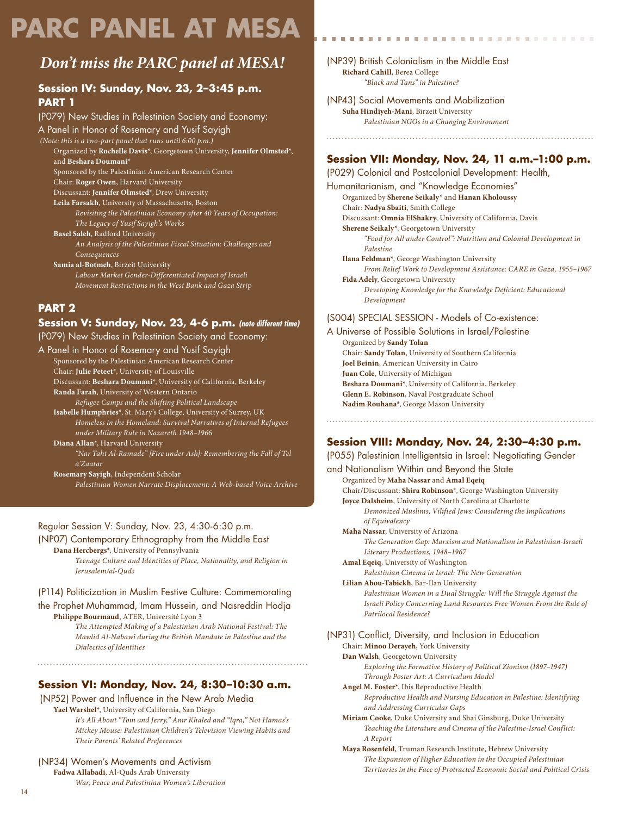# **PARC PANEL AT MESA**

# *Don't miss the PARC panel at MESA!*

#### **Session IV: Sunday, Nov. 23, 2–3:45 p.m. PART 1**

(P079) New Studies in Palestinian Society and Economy: A Panel in Honor of Rosemary and Yusif Sayigh  *(Note: this is a two-part panel that runs until 6:00 p.m.)* Organized by **Rochelle Davis\***, Georgetown University, **Jennifer Olmsted\***, and **Beshara Doumani\*** Sponsored by the Palestinian American Research Center Chair: **Roger Owen**, Harvard University Discussant: **Jennifer Olmsted\***, Drew University **Leila Farsakh**, University of Massachusetts, Boston *Revisiting the Palestinian Economy after 40 Years of Occupation: The Legacy of Yusif Sayigh's Works* **Basel Saleh**, Radford University *An Analysis of the Palestinian Fiscal Situation: Challenges and Consequences* **Samia al-Botmeh**, Birzeit University *Labour Market Gender-Differentiated Impact of Israeli Movement Restrictions in the West Bank and Gaza Stri*p

#### **PART 2**

#### **Session V: Sunday, Nov. 23, 4-6 p.m.** *(note different time)*

(P079) New Studies in Palestinian Society and Economy:

A Panel in Honor of Rosemary and Yusif Sayigh

Sponsored by the Palestinian American Research Center

Chair: **Julie Peteet\***, University of Louisville Discussant: **Beshara Doumani\***, University of California, Berkeley

**Randa Farah**, University of Western Ontario

 *Refugee Camps and the Shifting Political Landscape*

**Isabelle Humphries\***, St. Mary's College, University of Surrey, UK *Homeless in the Homeland: Survival Narratives of Internal Refugees under Military Rule in Nazareth 1948–196*6

**Diana Allan\***, Harvard University *"Nar Taht Al-Ramade" [Fire under Ash]: Remembering the Fall of Tel a'Zaatar*

**Rosemary Sayigh**, Independent Scholar

*Palestinian Women Narrate Displacement: A Web-based Voice Archive*

#### Regular Session V: Sunday, Nov. 23, 4:30-6:30 p.m.

(NP07) Contemporary Ethnography from the Middle East **Dana Hercbergs\***, University of Pennsylvania

 *Teenage Culture and Identities of Place, Nationality, and Religion in Jerusalem/al-Quds*

#### (P114) Politicization in Muslim Festive Culture: Commemorating the Prophet Muhammad, Imam Hussein, and Nasreddin Hodja

**Philippe Bourmaud**, ATER, Université Lyon 3  *The Attempted Making of a Palestinian Arab National Festival: The* 

*Mawlid Al-Nabawî during the British Mandate in Palestine and the Dialectics of Identities*

#### **Session VI: Monday, Nov. 24, 8:30–10:30 a.m.**

(NP52) Power and Influence in the New Arab Media

**Yael Warshel\***, University of California, San Diego *It's All About "Tom and Jerry," Amr Khaled and "Iqra," Not Hamas's Mickey Mouse: Palestinian Children's Television Viewing Habits and Their Parents' Related Preferences*

(NP34) Women's Movements and Activism **Fadwa Allabadi**, Al-Quds Arab University  *War, Peace and Palestinian Women's Liberation*  (NP39) British Colonialism in the Middle East **Richard Cahill**, Berea College  *"Black and Tans" in Palestine?* 

(NP43) Social Movements and Mobilization **Suha Hindiyeh-Mani**, Birzeit University  *Palestinian NGOs in a Changing Environment*

#### **Session VII: Monday, Nov. 24, 11 a.m.–1:00 p.m.**

(P029) Colonial and Postcolonial Development: Health, Humanitarianism, and "Knowledge Economies" Organized by **Sherene Seikaly**\* and **Hanan Kholoussy** Chair: **Nadya Sbaiti**, Smith College Discussant: **Omnia ElShakry**, University of California, Davis **Sherene Seikaly\***, Georgetown University *"Food for All under Control": Nutrition and Colonial Development in Palestine*  **Ilana Feldman\***, George Washington University *From Relief Work to Development Assistance: CARE in Gaza, 1955–1967* **Fida Adely**, Georgetown University *Developing Knowledge for the Knowledge Deficient: Educational Development*

#### (S004) SPECIAL SESSION - Models of Co-existence:

A Universe of Possible Solutions in Israel/Palestine Organized by **Sandy Tolan** Chair: **Sandy Tolan**, University of Southern California **Joel Beinin**, American University in Cairo **Juan Cole**, University of Michigan **Beshara Doumani\***, University of California, Berkeley **Glenn E. Robinson**, Naval Postgraduate School **Nadim Rouhana\***, George Mason University

#### **Session VIII: Monday, Nov. 24, 2:30–4:30 p.m.**

(P055) Palestinian Intelligentsia in Israel: Negotiating Gender and Nationalism Within and Beyond the State Organized by **Maha Nassar** and **Amal Eqeiq** Chair/Discussant: **Shira Robinson**\*, George Washington University **Joyce Dalsheim**, University of North Carolina at Charlotte *Demonized Muslims, Vilified Jews: Considering the Implications of Equivalency* **Maha Nassar**, University of Arizona *The Generation Gap: Marxism and Nationalism in Palestinian-Israeli Literary Productions, 1948–1967* **Amal Eqeiq**, University of Washington  *Palestinian Cinema in Israel: The New Generation*  **Lilian Abou-Tabickh**, Bar-Ilan University *Palestinian Women in a Dual Struggle: Will the Struggle Against the Israeli Policy Concerning Land Resources Free Women From the Rule of Patrilocal Residence?* (NP31) Conflict, Diversity, and Inclusion in Education Chair: **Minoo Derayeh**, York University **Dan Walsh**, Georgetown University *Exploring the Formative History of Political Zionism (1897–1947) Through Poster Art: A Curriculum Model* **Angel M. Foster\***, Ibis Reproductive Health  *Reproductive Health and Nursing Education in Palestine: Identifying and Addressing Curricular Gaps* **Miriam Cooke**, Duke University and Shai Ginsburg, Duke University *Teaching the Literature and Cinema of the Palestine-Israel Conflict:* 

*A Report*  **Maya Rosenfeld**, Truman Research Institute, Hebrew University *The Expansion of Higher Education in the Occupied Palestinian Territories in the Face of Protracted Economic Social and Political Crisis*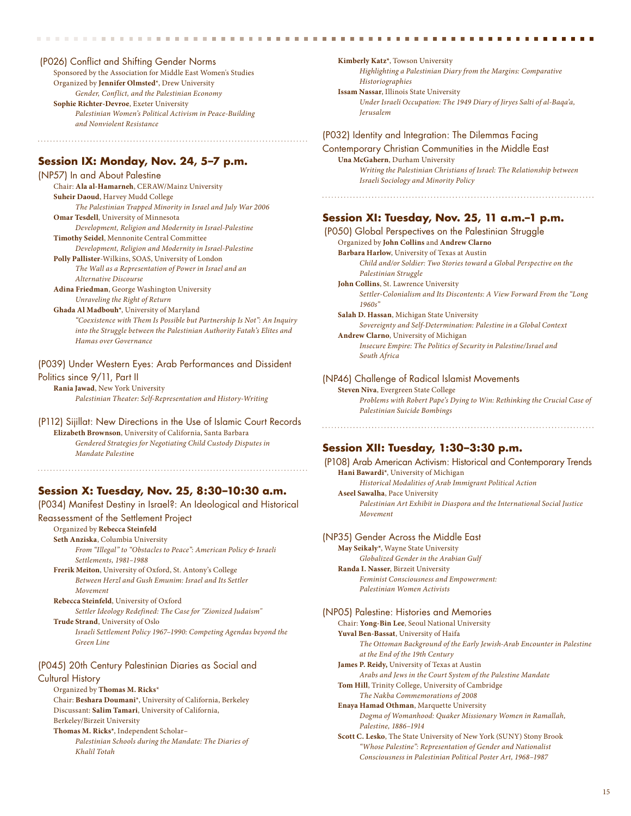(P026) Conflict and Shifting Gender Norms Sponsored by the Association for Middle East Women's Studies Organized by **Jennifer Olmsted**\*, Drew University *Gender, Conflict, and the Palestinian Economy* **Sophie Richter-Devroe**, Exeter University *Palestinian Women's Political Activism in Peace-Building and Nonviolent Resistance*

#### **Session IX: Monday, Nov. 24, 5–7 p.m.**

(NP57) In and About Palestine Chair: **Ala al-Hamarneh**, CERAW/Mainz University **Suheir Daoud**, Harvey Mudd College *The Palestinian Trapped Minority in Israel and July War 2006*  **Omar Tesdell**, University of Minnesota *Development, Religion and Modernity in Israel-Palestine*  **Timothy Seidel**, Mennonite Central Committee *Development, Religion and Modernity in Israel-Palestine*  **Polly Pallister**-Wilkins, SOAS, University of London *The Wall as a Representation of Power in Israel and an Alternative Discourse* **Adina Friedman**, George Washington University *Unraveling the Right of Return*  **Ghada Al Madbouh\***, University of Maryland *"Coexistence with Them Is Possible but Partnership Is Not": An Inquiry into the Struggle between the Palestinian Authority Fatah's Elites and Hamas over Governance* 

(P039) Under Western Eyes: Arab Performances and Dissident Politics since 9/11, Part II **Rania Jawad**, New York University *Palestinian Theater: Self-Representation and History-Writing* 

(P112) Sijillat: New Directions in the Use of Islamic Court Records **Elizabeth Brownson**, University of California, Santa Barbara *Gendered Strategies for Negotiating Child Custody Disputes in Mandate Palestin*e

#### **Session X: Tuesday, Nov. 25, 8:30–10:30 a.m.**

(P034) Manifest Destiny in Israel?: An Ideological and Historical

Reassessment of the Settlement Project

#### Organized by **Rebecca Steinfeld**

**Seth Anziska**, Columbia University *From "Illegal" to "Obstacles to Peace": American Policy & Israeli Settlements, 1981–1988* 

**Frerik Meiton**, University of Oxford, St. Antony's College *Between Herzl and Gush Emunim: Israel and Its Settler Movement* 

**Rebecca Steinfeld**, University of Oxford  *Settler Ideology Redefined: The Case for "Zionized Judaism"*  **Trude Strand**, University of Oslo *Israeli Settlement Policy 1967–1990: Competing Agendas beyond the* 

*Green Line*

#### (P045) 20th Century Palestinian Diaries as Social and

Cultural History

Organized by **Thomas M. Ricks**\* Chair: **Beshara Doumani**\*, University of California, Berkeley Discussant: **Salim Tamari**, University of California, Berkeley/Birzeit University **Thomas M. Ricks\***, Independent Scholar– *Palestinian Schools during the Mandate: The Diaries of Khalil Totah* 

**Kimberly Katz\***, Towson University *Highlighting a Palestinian Diary from the Margins: Comparative Historiographies* **Issam Nassar**, Illinois State University *Under Israeli Occupation: The 1949 Diary of Jiryes Salti of al-Baqa'a, Jerusalem* 

#### (P032) Identity and Integration: The Dilemmas Facing

Contemporary Christian Communities in the Middle East **Una McGahern**, Durham University *Writing the Palestinian Christians of Israel: The Relationship between Israeli Sociology and Minority Policy*

#### **Session XI: Tuesday, Nov. 25, 11 a.m.–1 p.m.**

(P050) Global Perspectives on the Palestinian Struggle Organized by **John Collins** and **Andrew Clarno Barbara Harlow**, University of Texas at Austin *Child and/or Soldier: Two Stories toward a Global Perspective on the Palestinian Struggle*  **John Collins**, St. Lawrence University *Settler-Colonialism and Its Discontents: A View Forward From the "Long 1960s"*  **Salah D. Hassan**, Michigan State University *Sovereignty and Self-Determination: Palestine in a Global Context*  **Andrew Clarno**, University of Michigan  *Insecure Empire: The Politics of Security in Palestine/Israel and South Africa*  (NP46) Challenge of Radical Islamist Movements **Steven Niva**, Evergreen State College

 *Problems with Robert Pape's Dying to Win: Rethinking the Crucial Case of Palestinian Suicide Bombings*

#### **Session XII: Tuesday, 1:30–3:30 p.m.**

(P108) Arab American Activism: Historical and Contemporary Trends **Hani Bawardi\***, University of Michigan *Historical Modalities of Arab Immigrant Political Action*  **Aseel Sawalha**, Pace University *Palestinian Art Exhibit in Diaspora and the International Social Justice Movement*

#### (NP35) Gender Across the Middle East

**May Seikaly\***, Wayne State University *Globalized Gender in the Arabian Gulf* **Randa I. Nasser**, Birzeit University *Feminist Consciousness and Empowerment: Palestinian Women Activists* 

#### (NP05) Palestine: Histories and Memories

Chair: **Yong-Bin Lee**, Seoul National University **Yuval Ben-Bassat**, University of Haifa *The Ottoman Background of the Early Jewish-Arab Encounter in Palestine at the End of the 19th Century*  **James P. Reidy,** University of Texas at Austin  *Arabs and Jews in the Court System of the Palestine Mandate*  **Tom Hill**, Trinity College, University of Cambridge *The Nakba Commemorations of 2008*  **Enaya Hamad Othman**, Marquette University *Dogma of Womanhood: Quaker Missionary Women in Ramallah, Palestine, 1886–1914*  **Scott C. Lesko**, The State University of New York (SUNY) Stony Brook

 *"Whose Palestine": Representation of Gender and Nationalist Consciousness in Palestinian Political Poster Art, 1968–1987*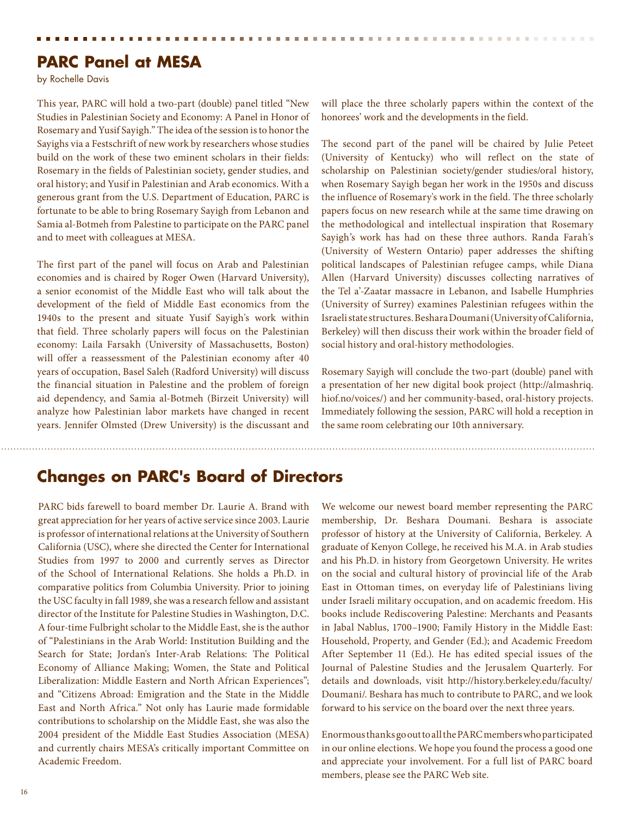# **PARC Panel at MESA**

by Rochelle Davis

This year, PARC will hold a two-part (double) panel titled "New Studies in Palestinian Society and Economy: A Panel in Honor of Rosemary and Yusif Sayigh." The idea of the session is to honor the Sayighs via a Festschrift of new work by researchers whose studies build on the work of these two eminent scholars in their fields: Rosemary in the fields of Palestinian society, gender studies, and oral history; and Yusif in Palestinian and Arab economics. With a generous grant from the U.S. Department of Education, PARC is fortunate to be able to bring Rosemary Sayigh from Lebanon and Samia al-Botmeh from Palestine to participate on the PARC panel and to meet with colleagues at MESA.

The first part of the panel will focus on Arab and Palestinian economies and is chaired by Roger Owen (Harvard University), a senior economist of the Middle East who will talk about the development of the field of Middle East economics from the 1940s to the present and situate Yusif Sayigh's work within that field. Three scholarly papers will focus on the Palestinian economy: Laila Farsakh (University of Massachusetts, Boston) will offer a reassessment of the Palestinian economy after 40 years of occupation, Basel Saleh (Radford University) will discuss the financial situation in Palestine and the problem of foreign aid dependency, and Samia al-Botmeh (Birzeit University) will analyze how Palestinian labor markets have changed in recent years. Jennifer Olmsted (Drew University) is the discussant and

will place the three scholarly papers within the context of the honorees' work and the developments in the field.

. . . . . . . . . . . . . . . . . . .

The second part of the panel will be chaired by Julie Peteet (University of Kentucky) who will reflect on the state of scholarship on Palestinian society/gender studies/oral history, when Rosemary Sayigh began her work in the 1950s and discuss the influence of Rosemary's work in the field. The three scholarly papers focus on new research while at the same time drawing on the methodological and intellectual inspiration that Rosemary Sayigh's work has had on these three authors. Randa Farah's (University of Western Ontario) paper addresses the shifting political landscapes of Palestinian refugee camps, while Diana Allen (Harvard University) discusses collecting narratives of the Tel a'-Zaatar massacre in Lebanon, and Isabelle Humphries (University of Surrey) examines Palestinian refugees within the Israeli state structures. Beshara Doumani (University of California, Berkeley) will then discuss their work within the broader field of social history and oral-history methodologies.

Rosemary Sayigh will conclude the two-part (double) panel with a presentation of her new digital book project (http://almashriq. hiof.no/voices/) and her community-based, oral-history projects. Immediately following the session, PARC will hold a reception in the same room celebrating our 10th anniversary.

# **Changes on PARC's Board of Directors**

PARC bids farewell to board member Dr. Laurie A. Brand with great appreciation for her years of active service since 2003. Laurie is professor of international relations at the University of Southern California (USC), where she directed the Center for International Studies from 1997 to 2000 and currently serves as Director of the School of International Relations. She holds a Ph.D. in comparative politics from Columbia University. Prior to joining the USC faculty in fall 1989, she was a research fellow and assistant director of the Institute for Palestine Studies in Washington, D.C. A four-time Fulbright scholar to the Middle East, she is the author of "Palestinians in the Arab World: Institution Building and the Search for State; Jordan's Inter-Arab Relations: The Political Economy of Alliance Making; Women, the State and Political Liberalization: Middle Eastern and North African Experiences"; and "Citizens Abroad: Emigration and the State in the Middle East and North Africa." Not only has Laurie made formidable contributions to scholarship on the Middle East, she was also the 2004 president of the Middle East Studies Association (MESA) and currently chairs MESA's critically important Committee on Academic Freedom.

We welcome our newest board member representing the PARC membership, Dr. Beshara Doumani. Beshara is associate professor of history at the University of California, Berkeley. A graduate of Kenyon College, he received his M.A. in Arab studies and his Ph.D. in history from Georgetown University. He writes on the social and cultural history of provincial life of the Arab East in Ottoman times, on everyday life of Palestinians living under Israeli military occupation, and on academic freedom. His books include Rediscovering Palestine: Merchants and Peasants in Jabal Nablus, 1700–1900; Family History in the Middle East: Household, Property, and Gender (Ed.); and Academic Freedom After September 11 (Ed.). He has edited special issues of the Journal of Palestine Studies and the Jerusalem Quarterly. For details and downloads, visit http://history.berkeley.edu/faculty/ Doumani/. Beshara has much to contribute to PARC, and we look forward to his service on the board over the next three years.

Enormous thanks go out to all the PARC members who participated in our online elections. We hope you found the process a good one and appreciate your involvement. For a full list of PARC board members, please see the PARC Web site.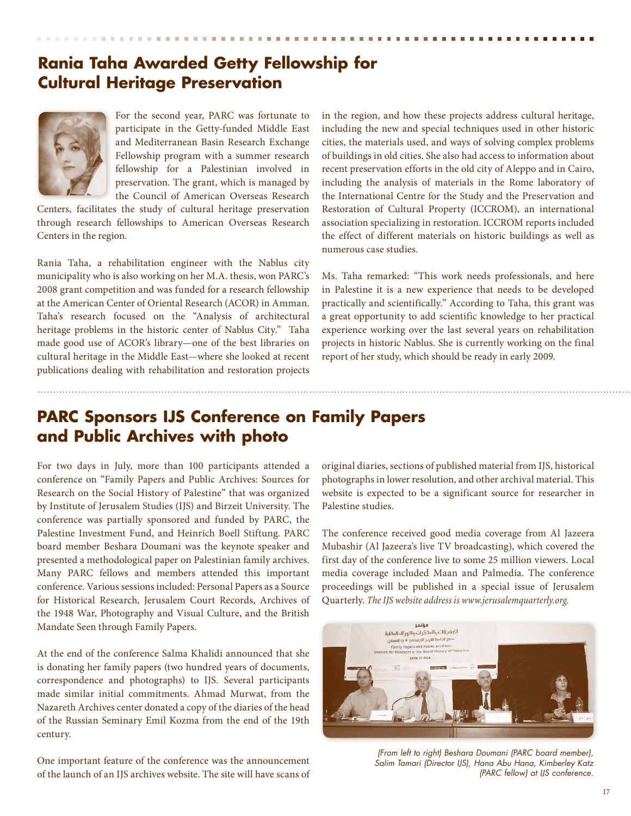# **Rania Taha Awarded Getty Fellowship for Cultural Heritage Preservation**



For the second year, PARC was fortunate to participate in the Getty-funded Middle East and Mediterranean Basin Research Exchange Fellowship program with a summer research fellowship for a Palestinian involved in preservation. The grant, which is managed by the Council of American Overseas Research

Centers, facilitates the study of cultural heritage preservation through research fellowships to American Overseas Research Centers in the region.

Rania Taha, a rehabilitation engineer with the Nablus city municipality who is also working on her M.A. thesis, won PARC's 2008 grant competition and was funded for a research fellowship at the American Center of Oriental Research (ACOR) in Amman. Taha's research focused on the "Analysis of architectural heritage problems in the historic center of Nablus City." Taha made good use of ACOR's library—one of the best libraries on cultural heritage in the Middle East—where she looked at recent publications dealing with rehabilitation and restoration projects

in the region, and how these projects address cultural heritage, including the new and special techniques used in other historic cities, the materials used, and ways of solving complex problems of buildings in old cities. She also had access to information about recent preservation efforts in the old city of Aleppo and in Cairo, including the analysis of materials in the Rome laboratory of the International Centre for the Study and the Preservation and Restoration of Cultural Property (ICCROM), an international association specializing in restoration. ICCROM reports included the effect of different materials on historic buildings as well as numerous case studies.

Ms. Taha remarked: "This work needs professionals, and here in Palestine it is a new experience that needs to be developed practically and scientifically." According to Taha, this grant was a great opportunity to add scientific knowledge to her practical experience working over the last several years on rehabilitation projects in historic Nablus. She is currently working on the final report of her study, which should be ready in early 2009.

# **PARC Sponsors IJS Conference on Family Papers and Public Archives with photo**

For two days in July, more than 100 participants attended a conference on "Family Papers and Public Archives: Sources for Research on the Social History of Palestine" that was organized by Institute of Jerusalem Studies (IJS) and Birzeit University. The conference was partially sponsored and funded by PARC, the Palestine Investment Fund, and Heinrich Boell Stiftung. PARC board member Beshara Doumani was the keynote speaker and presented a methodological paper on Palestinian family archives. Many PARC fellows and members attended this important conference. Various sessions included: Personal Papers as a Source for Historical Research, Jerusalem Court Records, Archives of the 1948 War, Photography and Visual Culture, and the British Mandate Seen through Family Papers.

At the end of the conference Salma Khalidi announced that she is donating her family papers (two hundred years of documents, correspondence and photographs) to IJS. Several participants made similar initial commitments. Ahmad Murwat, from the Nazareth Archives center donated a copy of the diaries of the head of the Russian Seminary Emil Kozma from the end of the 19th century.

One important feature of the conference was the announcement of the launch of an IJS archives website. The site will have scans of original diaries, sections of published material from IJS, historical photographs in lower resolution, and other archival material. This website is expected to be a significant source for researcher in Palestine studies.

The conference received good media coverage from Al Jazeera Mubashir (Al Jazeera's live TV broadcasting), which covered the first day of the conference live to some 25 million viewers. Local media coverage included Maan and Palmedia. The conference proceedings will be published in a special issue of Jerusalem Quarterly. *The IJS website address is www.jerusalemquarterly.org.*



*(From left to right) Beshara Doumani (PARC board member), Salim Tamari (Director IJS), Hana Abu Hana, Kimberley Katz (PARC fellow) at IJS conference.*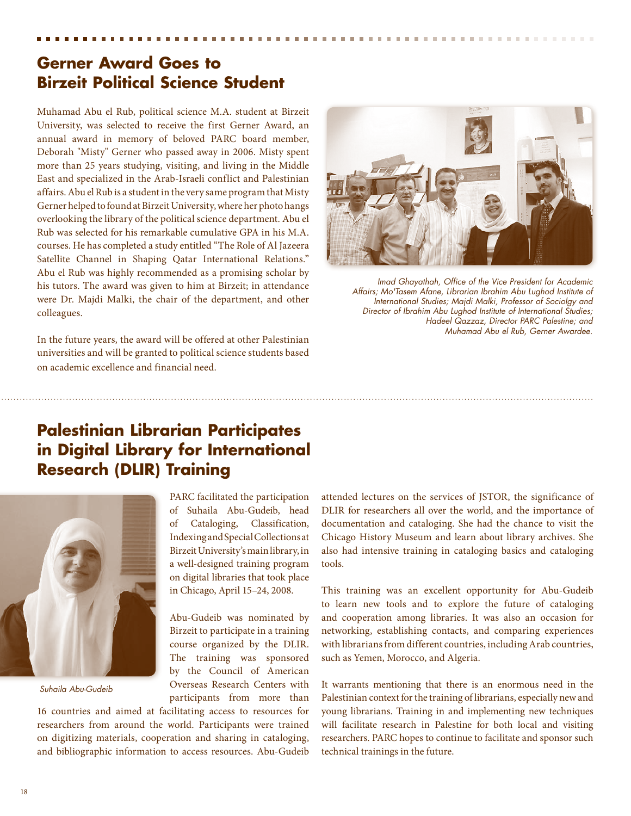# **Gerner Award Goes to Birzeit Political Science Student**

Muhamad Abu el Rub, political science M.A. student at Birzeit University, was selected to receive the first Gerner Award, an annual award in memory of beloved PARC board member, Deborah "Misty" Gerner who passed away in 2006. Misty spent more than 25 years studying, visiting, and living in the Middle East and specialized in the Arab-Israeli conflict and Palestinian affairs. Abu el Rub is a student in the very same program that Misty Gerner helped to found at Birzeit University, where her photo hangs overlooking the library of the political science department. Abu el Rub was selected for his remarkable cumulative GPA in his M.A. courses. He has completed a study entitled "The Role of Al Jazeera Satellite Channel in Shaping Qatar International Relations." Abu el Rub was highly recommended as a promising scholar by his tutors. The award was given to him at Birzeit; in attendance were Dr. Majdi Malki, the chair of the department, and other colleagues.

In the future years, the award will be offered at other Palestinian universities and will be granted to political science students based on academic excellence and financial need.



*Imad Ghayathah, Office of the Vice President for Academic Affairs; Mo'Tasem Afane, Librarian Ibrahim Abu Lughod Institute of International Studies; Majdi Malki, Professor of Sociolgy and Director of Ibrahim Abu Lughod Institute of International Studies; Hadeel Qazzaz, Director PARC Palestine; and Muhamad Abu el Rub, Gerner Awardee.*

# **Palestinian Librarian Participates in Digital Library for International Research (DLIR) Training**



*Suhaila Abu-Gudeib*

PARC facilitated the participation of Suhaila Abu-Gudeib, head of Cataloging, Classification, Indexing and Special Collections at Birzeit University's main library, in a well-designed training program on digital libraries that took place in Chicago, April 15–24, 2008.

Abu-Gudeib was nominated by Birzeit to participate in a training course organized by the DLIR. The training was sponsored by the Council of American Overseas Research Centers with participants from more than

16 countries and aimed at facilitating access to resources for researchers from around the world. Participants were trained on digitizing materials, cooperation and sharing in cataloging, and bibliographic information to access resources. Abu-Gudeib

attended lectures on the services of JSTOR, the significance of DLIR for researchers all over the world, and the importance of documentation and cataloging. She had the chance to visit the Chicago History Museum and learn about library archives. She also had intensive training in cataloging basics and cataloging tools.

This training was an excellent opportunity for Abu-Gudeib to learn new tools and to explore the future of cataloging and cooperation among libraries. It was also an occasion for networking, establishing contacts, and comparing experiences with librarians from different countries, including Arab countries, such as Yemen, Morocco, and Algeria.

It warrants mentioning that there is an enormous need in the Palestinian context for the training of librarians, especially new and young librarians. Training in and implementing new techniques will facilitate research in Palestine for both local and visiting researchers. PARC hopes to continue to facilitate and sponsor such technical trainings in the future.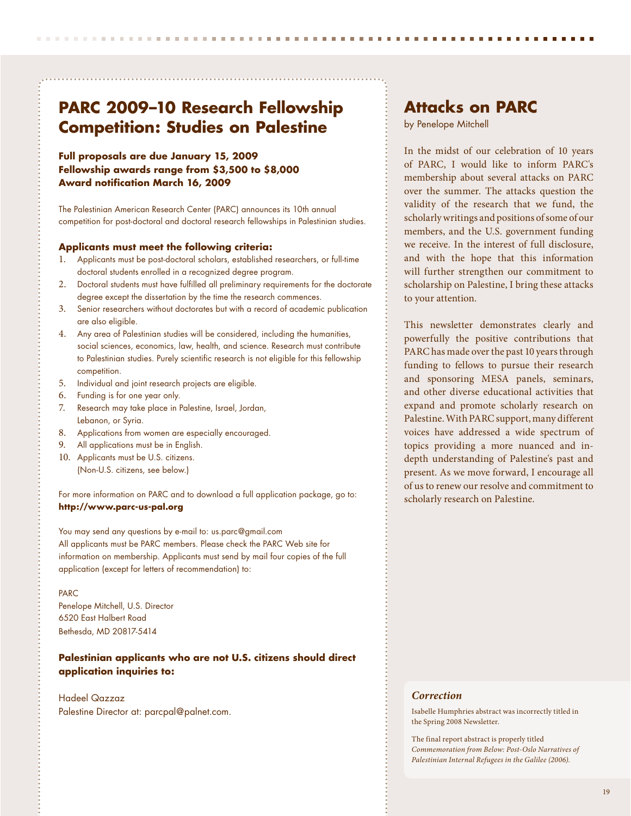# **PARC 2009–10 Research Fellowship Competition: Studies on Palestine**

#### **Full proposals are due January 15, 2009 Fellowship awards range from \$3,500 to \$8,000 Award notification March 16, 2009**

The Palestinian American Research Center (PARC) announces its 10th annual competition for post-doctoral and doctoral research fellowships in Palestinian studies.

#### **Applicants must meet the following criteria:**

- 1. Applicants must be post-doctoral scholars, established researchers, or full-time doctoral students enrolled in a recognized degree program.
- 2. Doctoral students must have fulfilled all preliminary requirements for the doctorate degree except the dissertation by the time the research commences.
- 3. Senior researchers without doctorates but with a record of academic publication are also eligible.
- 4. Any area of Palestinian studies will be considered, including the humanities, social sciences, economics, law, health, and science. Research must contribute to Palestinian studies. Purely scientific research is not eligible for this fellowship competition.
- 5. Individual and joint research projects are eligible.
- 6. Funding is for one year only.
- 7. Research may take place in Palestine, Israel, Jordan, Lebanon, or Syria.
- 8. Applications from women are especially encouraged.
- 9. All applications must be in English.
- 10. Applicants must be U.S. citizens. (Non-U.S. citizens, see below.)

For more information on PARC and to download a full application package, go to: **http://www.parc-us-pal.org**

You may send any questions by e-mail to: us.parc@gmail.com All applicants must be PARC members. Please check the PARC Web site for information on membership. Applicants must send by mail four copies of the full application (except for letters of recommendation) to:

#### PARC

Penelope Mitchell, U.S. Director 6520 East Halbert Road Bethesda, MD 20817-5414

#### **Palestinian applicants who are not U.S. citizens should direct application inquiries to:**

#### Hadeel Qazzaz

Palestine Director at: parcpal@palnet.com.

## **Attacks on PARC**

by Penelope Mitchell

In the midst of our celebration of 10 years of PARC, I would like to inform PARC's membership about several attacks on PARC over the summer. The attacks question the validity of the research that we fund, the scholarly writings and positions of some of our members, and the U.S. government funding we receive. In the interest of full disclosure, and with the hope that this information will further strengthen our commitment to scholarship on Palestine, I bring these attacks to your attention.

This newsletter demonstrates clearly and powerfully the positive contributions that PARC has made over the past 10 years through funding to fellows to pursue their research and sponsoring MESA panels, seminars, and other diverse educational activities that expand and promote scholarly research on Palestine. With PARC support, many different voices have addressed a wide spectrum of topics providing a more nuanced and indepth understanding of Palestine's past and present. As we move forward, I encourage all of us to renew our resolve and commitment to scholarly research on Palestine.

#### *Correction*

Isabelle Humphries abstract was incorrectly titled in the Spring 2008 Newsletter.

The final report abstract is properly titled *Commemoration from Below: Post-Oslo Narratives of Palestinian Internal Refugees in the Galilee (2006).*